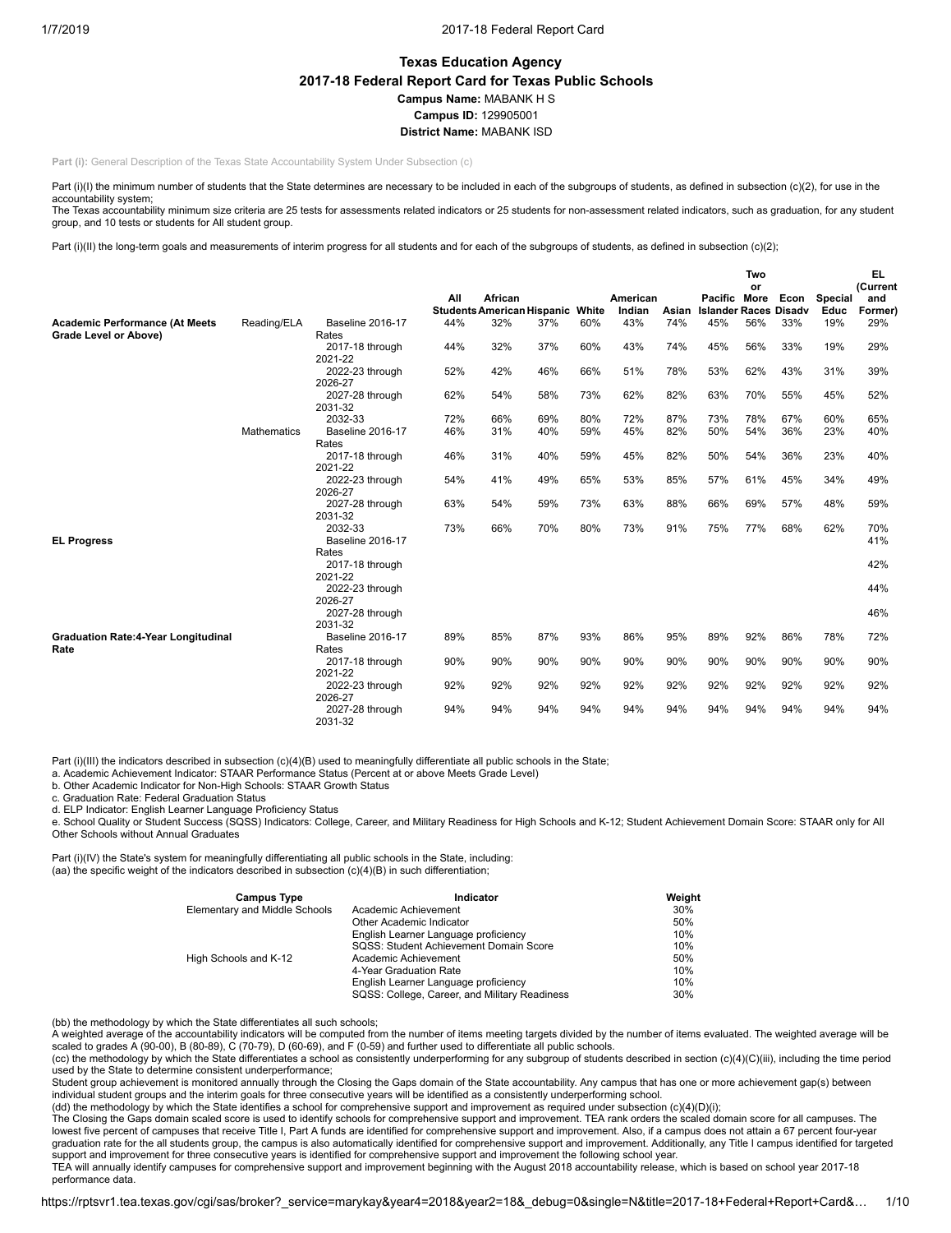# **Texas Education Agency 2017-18 Federal Report Card for Texas Public Schools Campus Name:** MABANK H S **Campus ID:** 129905001 **District Name:** MABANK ISD

**Part (i):** General Description of the Texas State Accountability System Under Subsection (c)

Part (i)(I) the minimum number of students that the State determines are necessary to be included in each of the subgroups of students, as defined in subsection (c)(2), for use in the accountability system;

The Texas accountability minimum size criteria are 25 tests for assessments related indicators or 25 students for non-assessment related indicators, such as graduation, for any student group, and 10 tests or students for All student group.

Part (i)(II) the long-term goals and measurements of interim progress for all students and for each of the subgroups of students, as defined in subsection (c)(2);

|                                            |                    |                            |     |                                              |     |       |                    |       |                                              | Two |      |                        | EL.            |
|--------------------------------------------|--------------------|----------------------------|-----|----------------------------------------------|-----|-------|--------------------|-------|----------------------------------------------|-----|------|------------------------|----------------|
|                                            |                    |                            |     |                                              |     |       |                    |       |                                              | or  |      |                        | (Current       |
|                                            |                    |                            | All | African<br><b>Students American Hispanic</b> |     | White | American<br>Indian | Asian | Pacific More<br><b>Islander Races Disadv</b> |     | Econ | <b>Special</b><br>Educ | and<br>Former) |
| <b>Academic Performance (At Meets</b>      | Reading/ELA        | <b>Baseline 2016-17</b>    | 44% | 32%                                          | 37% | 60%   | 43%                | 74%   | 45%                                          | 56% | 33%  | 19%                    | 29%            |
| Grade Level or Above)                      |                    | Rates                      |     |                                              |     |       |                    |       |                                              |     |      |                        |                |
|                                            |                    | 2017-18 through            | 44% | 32%                                          | 37% | 60%   | 43%                | 74%   | 45%                                          | 56% | 33%  | 19%                    | 29%            |
|                                            |                    | 2021-22                    |     |                                              |     |       |                    |       |                                              |     |      |                        |                |
|                                            |                    | 2022-23 through            | 52% | 42%                                          | 46% | 66%   | 51%                | 78%   | 53%                                          | 62% | 43%  | 31%                    | 39%            |
|                                            |                    | 2026-27                    |     |                                              |     |       |                    |       |                                              |     |      |                        |                |
|                                            |                    | 2027-28 through            | 62% | 54%                                          | 58% | 73%   | 62%                | 82%   | 63%                                          | 70% | 55%  | 45%                    | 52%            |
|                                            |                    | 2031-32                    |     |                                              |     |       |                    |       |                                              |     |      |                        |                |
|                                            |                    | 2032-33                    | 72% | 66%                                          | 69% | 80%   | 72%                | 87%   | 73%                                          | 78% | 67%  | 60%                    | 65%            |
|                                            | <b>Mathematics</b> | Baseline 2016-17           | 46% | 31%                                          | 40% | 59%   | 45%                | 82%   | 50%                                          | 54% | 36%  | 23%                    | 40%            |
|                                            |                    | Rates                      |     |                                              |     |       |                    |       |                                              |     |      |                        |                |
|                                            |                    | 2017-18 through            | 46% | 31%                                          | 40% | 59%   | 45%                | 82%   | 50%                                          | 54% | 36%  | 23%                    | 40%            |
|                                            |                    | 2021-22                    |     |                                              |     |       |                    |       |                                              |     |      |                        |                |
|                                            |                    | 2022-23 through<br>2026-27 | 54% | 41%                                          | 49% | 65%   | 53%                | 85%   | 57%                                          | 61% | 45%  | 34%                    | 49%            |
|                                            |                    | 2027-28 through            | 63% | 54%                                          | 59% | 73%   | 63%                | 88%   | 66%                                          | 69% | 57%  | 48%                    | 59%            |
|                                            |                    | 2031-32                    |     |                                              |     |       |                    |       |                                              |     |      |                        |                |
|                                            |                    | 2032-33                    | 73% | 66%                                          | 70% | 80%   | 73%                | 91%   | 75%                                          | 77% | 68%  | 62%                    | 70%            |
| <b>EL Progress</b>                         |                    | Baseline 2016-17           |     |                                              |     |       |                    |       |                                              |     |      |                        | 41%            |
|                                            |                    | Rates                      |     |                                              |     |       |                    |       |                                              |     |      |                        |                |
|                                            |                    | 2017-18 through            |     |                                              |     |       |                    |       |                                              |     |      |                        | 42%            |
|                                            |                    | 2021-22                    |     |                                              |     |       |                    |       |                                              |     |      |                        |                |
|                                            |                    | 2022-23 through            |     |                                              |     |       |                    |       |                                              |     |      |                        | 44%            |
|                                            |                    | 2026-27                    |     |                                              |     |       |                    |       |                                              |     |      |                        |                |
|                                            |                    | 2027-28 through            |     |                                              |     |       |                    |       |                                              |     |      |                        | 46%            |
|                                            |                    | 2031-32                    |     |                                              |     |       |                    |       |                                              |     |      |                        |                |
| <b>Graduation Rate:4-Year Longitudinal</b> |                    | <b>Baseline 2016-17</b>    | 89% | 85%                                          | 87% | 93%   | 86%                | 95%   | 89%                                          | 92% | 86%  | 78%                    | 72%            |
| Rate                                       |                    | Rates                      |     |                                              |     |       |                    |       |                                              |     |      |                        |                |
|                                            |                    | 2017-18 through            | 90% | 90%                                          | 90% | 90%   | 90%                | 90%   | 90%                                          | 90% | 90%  | 90%                    | 90%            |
|                                            |                    | 2021-22                    |     |                                              |     |       |                    |       |                                              |     |      |                        |                |
|                                            |                    | 2022-23 through<br>2026-27 | 92% | 92%                                          | 92% | 92%   | 92%                | 92%   | 92%                                          | 92% | 92%  | 92%                    | 92%            |
|                                            |                    | 2027-28 through            | 94% | 94%                                          | 94% | 94%   | 94%                | 94%   | 94%                                          | 94% | 94%  | 94%                    | 94%            |
|                                            |                    | 2031-32                    |     |                                              |     |       |                    |       |                                              |     |      |                        |                |

Part (i)(III) the indicators described in subsection (c)(4)(B) used to meaningfully differentiate all public schools in the State;<br>a. Academic Achievement Indicator: STAAR Performance Status (Percent at or above Meets Grad

b. Other Academic Indicator for Non-High Schools: STAAR Growth Status

c. Graduation Rate: Federal Graduation Status

d. ELP Indicator: English Learner Language Proficiency Status

e. School Quality or Student Success (SQSS) Indicators: College, Career, and Military Readiness for High Schools and K-12; Student Achievement Domain Score: STAAR only for All Other Schools without Annual Graduates

Part (i)(IV) the State's system for meaningfully differentiating all public schools in the State, including: (aa) the specific weight of the indicators described in subsection (c)(4)(B) in such differentiation;

| <b>Campus Type</b>            | Indicator                                     | Weight |
|-------------------------------|-----------------------------------------------|--------|
| Elementary and Middle Schools | Academic Achievement                          | 30%    |
|                               | Other Academic Indicator                      | 50%    |
|                               | English Learner Language proficiency          | 10%    |
|                               | SQSS: Student Achievement Domain Score        | 10%    |
| High Schools and K-12         | Academic Achievement                          | 50%    |
|                               | 4-Year Graduation Rate                        | 10%    |
|                               | English Learner Language proficiency          | 10%    |
|                               | SQSS: College, Career, and Military Readiness | 30%    |

(bb) the methodology by which the State differentiates all such schools;

A weighted average of the accountability indicators will be computed from the number of items meeting targets divided by the number of items evaluated. The weighted average will be scaled to grades A (90-00), B (80-89), C (70-79), D (60-69), and F (0-59) and further used to differentiate all public schools.

(cc) the methodology by which the State differentiates a school as consistently underperforming for any subgroup of students described in section (c)(4)(C)(iii), including the time period used by the State to determine consistent underperformance;

Student group achievement is monitored annually through the Closing the Gaps domain of the State accountability. Any campus that has one or more achievement gap(s) between individual student groups and the interim goals for three consecutive years will be identified as a consistently underperforming school.<br>(dd) the methodology by which the State identifies a school for comprehensive support

The Closing the Gaps domain scaled score is used to identify schools for comprehensive support and improvement. TEA rank orders the scaled domain score for all campuses. The lowest five percent of campuses that receive Title I, Part A funds are identified for comprehensive support and improvement. Also, if a campus does not attain a 67 percent four-year graduation rate for the all students group, the campus is also automatically identified for comprehensive support and improvement. Additionally, any Title I campus identified for targeted support and improvement for three consecutive years is identified for comprehensive support and improvement the following school year.

TEA will annually identify campuses for comprehensive support and improvement beginning with the August 2018 accountability release, which is based on school year 2017-18 performance data.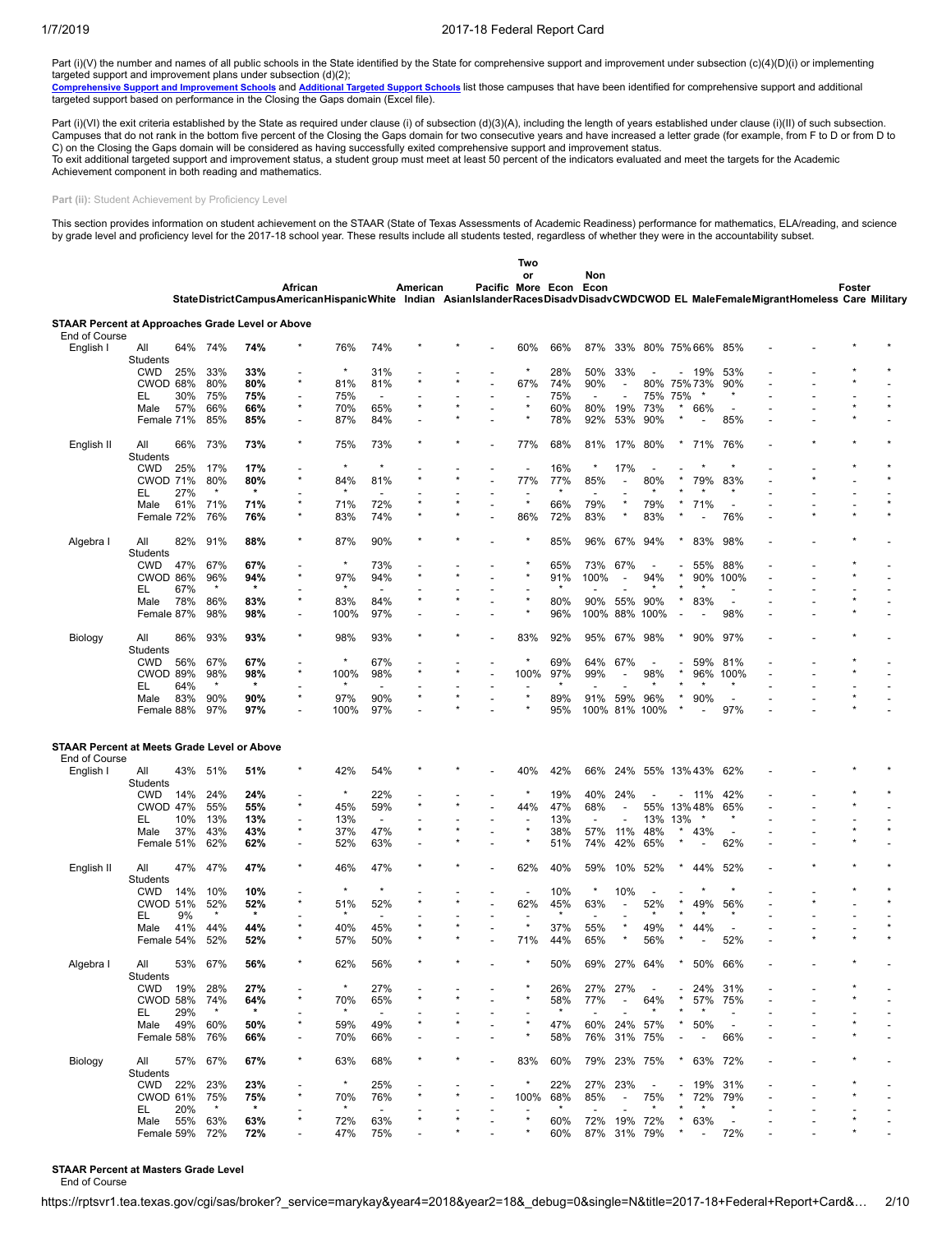Part (i)(V) the number and names of all public schools in the State identified by the State for comprehensive support and improvement under subsection (c)(4)(D)(i) or implementing

targeted support and improvement plans under subsection (d)(2);<br><u>[Comprehensive](https://tea.texas.gov/WorkArea/DownloadAsset.aspx?id=51539624659) Support and Improvement Schools</u> and <u>[Additional](https://tea.texas.gov/WorkArea/DownloadAsset.aspx?id=51539624660) Targeted Support Schools</u> list those campuses that have been identified for comprehensive supp

Part (i)(VI) the exit criteria established by the State as required under clause (i) of subsection (d)(3)(A), including the length of years established under clause (i)(II) of such subsection. Campuses that do not rank in the bottom five percent of the Closing the Gaps domain for two consecutive years and have increased a letter grade (for example, from F to D or from D to C) on the Closing the Gaps domain will be considered as having successfully exited comprehensive support and improvement status. To exit additional targeted support and improvement status, a student group must meet at least 50 percent of the indicators evaluated and meet the targets for the Academic Achievement component in both reading and mathematics.

Part (ii): Student Achievement by Proficiency Level

This section provides information on student achievement on the STAAR (State of Texas Assessments of Academic Readiness) performance for mathematics, ELA/reading, and science by grade level and proficiency level for the 2017-18 school year. These results include all students tested, regardless of whether they were in the accountability subset.

|                                                                          |                        |     |                |                |                                                                                                                                             |         |                |          |                   | Two                      |            |                          |                          |                          |         |                          |                          |  |        |  |
|--------------------------------------------------------------------------|------------------------|-----|----------------|----------------|---------------------------------------------------------------------------------------------------------------------------------------------|---------|----------------|----------|-------------------|--------------------------|------------|--------------------------|--------------------------|--------------------------|---------|--------------------------|--------------------------|--|--------|--|
|                                                                          |                        |     |                |                | African<br>StateDistrictCampusAmericanHispanicWhite Indian AsianIslanderRacesDisadvDisadvCWDCWOD EL MaleFemaleMigrantHomeless Care Military |         |                | American | Pacific More Econ | or                       |            | Non<br>Econ              |                          |                          |         |                          |                          |  | Foster |  |
|                                                                          |                        |     |                |                |                                                                                                                                             |         |                |          |                   |                          |            |                          |                          |                          |         |                          |                          |  |        |  |
| <b>STAAR Percent at Approaches Grade Level or Above</b><br>End of Course |                        |     |                |                |                                                                                                                                             |         |                |          |                   |                          |            |                          |                          |                          |         |                          |                          |  |        |  |
| English I                                                                | All                    | 64% | 74%            | 74%            |                                                                                                                                             | 76%     | 74%            |          |                   | 60%                      | 66%        | 87%                      |                          | 33% 80% 75% 66%          |         |                          | 85%                      |  |        |  |
|                                                                          | Students               |     |                |                |                                                                                                                                             | $\star$ |                |          |                   | $\star$                  |            |                          |                          |                          |         |                          |                          |  |        |  |
|                                                                          | <b>CWD</b><br>CWOD 68% | 25% | 33%<br>80%     | 33%<br>80%     | $\star$                                                                                                                                     | 81%     | 31%<br>81%     |          |                   | 67%                      | 28%<br>74% | 50%<br>90%               | 33%<br>L,                | 80% 75% 73%              |         | 19%                      | 53%<br>90%               |  |        |  |
|                                                                          | EL                     | 30% | 75%            | 75%            | $\overline{\phantom{a}}$                                                                                                                    | 75%     | $\overline{a}$ |          |                   | $\overline{\phantom{a}}$ | 75%        | $\overline{\phantom{a}}$ | $\overline{a}$           | 75%                      | 75%     |                          |                          |  |        |  |
|                                                                          | Male                   | 57% | 66%            | 66%            | $\star$                                                                                                                                     | 70%     | 65%            |          |                   | $\star$                  | 60%        | 80%                      | 19%                      | 73%                      |         | 66%                      |                          |  |        |  |
|                                                                          | Female 71%             |     | 85%            | 85%            | ÷                                                                                                                                           | 87%     | 84%            |          |                   |                          | 78%        | 92%                      | 53%                      | 90%                      |         |                          | 85%                      |  |        |  |
|                                                                          |                        |     |                |                |                                                                                                                                             |         |                |          |                   |                          |            |                          |                          |                          |         |                          |                          |  |        |  |
| English II                                                               | All<br>Students        | 66% | 73%            | 73%            | $\star$                                                                                                                                     | 75%     | 73%            |          |                   | 77%                      | 68%        | 81%                      | 17%                      | 80%                      |         | 71%                      | 76%                      |  |        |  |
|                                                                          | <b>CWD</b>             | 25% | 17%            | 17%            |                                                                                                                                             | $\star$ | $\star$        |          |                   | $\overline{a}$           | 16%        |                          | 17%                      |                          |         |                          |                          |  |        |  |
|                                                                          | <b>CWOD 71%</b>        |     | 80%            | 80%            | $\star$                                                                                                                                     | 84%     | 81%            |          |                   | 77%                      | 77%        | 85%                      |                          | 80%                      |         | 79%                      | 83%                      |  |        |  |
|                                                                          | EL                     | 27% | $\star$        | $\star$        |                                                                                                                                             |         |                |          |                   |                          |            |                          |                          |                          |         |                          |                          |  |        |  |
|                                                                          | Male                   | 61% | 71%            | 71%            | ×                                                                                                                                           | 71%     | 72%            |          |                   | $\star$                  | 66%        | 79%                      |                          | 79%                      |         | 71%                      |                          |  |        |  |
|                                                                          | Female 72%             |     | 76%            | 76%            | $\star$                                                                                                                                     | 83%     | 74%            |          |                   | 86%                      | 72%        | 83%                      | $\star$                  | 83%                      |         |                          | 76%                      |  |        |  |
| Algebra I                                                                | All<br>Students        | 82% | 91%            | 88%            | $\star$                                                                                                                                     | 87%     | 90%            |          |                   |                          | 85%        | 96%                      | 67%                      | 94%                      |         | 83%                      | 98%                      |  |        |  |
|                                                                          | <b>CWD</b>             | 47% | 67%            | 67%            |                                                                                                                                             | $\star$ | 73%            |          |                   | $\star$                  | 65%        | 73%                      | 67%                      | $\overline{\phantom{a}}$ |         | 55%                      | 88%                      |  |        |  |
|                                                                          | CWOD 86%               |     | 96%            | 94%            | $\star$                                                                                                                                     | 97%     | 94%            |          |                   | $\star$                  | 91%        | 100%                     |                          | 94%                      |         | 90%                      | 100%                     |  |        |  |
|                                                                          | EL                     | 67% |                | $\star$        | $\star$                                                                                                                                     |         |                |          |                   | $\star$                  |            |                          |                          |                          |         |                          |                          |  |        |  |
|                                                                          | Male                   | 78% | 86%            | 83%            |                                                                                                                                             | 83%     | 84%            |          |                   | $\star$                  | 80%        | 90%                      | 55%                      | 90%                      |         | 83%                      |                          |  |        |  |
|                                                                          | Female 87%             |     | 98%            | 98%            | ÷                                                                                                                                           | 100%    | 97%            |          |                   |                          | 96%        | 100%                     | 88%                      | 100%                     |         |                          | 98%                      |  |        |  |
| Biology                                                                  | All<br><b>Students</b> | 86% | 93%            | 93%            | $\star$                                                                                                                                     | 98%     | 93%            |          |                   | 83%                      | 92%        | 95%                      | 67%                      | 98%                      |         | 90%                      | 97%                      |  |        |  |
|                                                                          | <b>CWD</b>             | 56% | 67%            | 67%            |                                                                                                                                             | $\star$ | 67%            |          |                   | $\star$                  | 69%        | 64%                      | 67%                      |                          |         | 59%                      | 81%                      |  |        |  |
|                                                                          | <b>CWOD 89%</b>        |     | 98%            | 98%            | $\star$                                                                                                                                     | 100%    | 98%            |          |                   | 100%                     | 97%        | 99%                      |                          | 98%                      |         | 96%                      | 100%                     |  |        |  |
|                                                                          | EL                     | 64% | $\star$        | $\star$        |                                                                                                                                             |         |                |          |                   |                          |            |                          |                          |                          |         |                          |                          |  |        |  |
|                                                                          | Male                   | 83% | 90%            | 90%            | ×                                                                                                                                           | 97%     | 90%            |          |                   | $\star$                  | 89%        | 91%                      | 59%                      | 96%                      |         | 90%                      |                          |  |        |  |
|                                                                          | Female 88%             |     | 97%            | 97%            |                                                                                                                                             | 100%    | 97%            |          |                   | $\star$                  | 95%        | 100%                     | 81%                      | 100%                     |         |                          | 97%                      |  |        |  |
| STAAR Percent at Meets Grade Level or Above<br>End of Course             |                        |     |                |                |                                                                                                                                             |         |                |          |                   |                          |            |                          |                          |                          |         |                          |                          |  |        |  |
| English I                                                                | All                    | 43% | 51%            | 51%            |                                                                                                                                             | 42%     | 54%            |          |                   | 40%                      | 42%        | 66%                      | 24%                      | 55%                      |         | 13%43%                   | 62%                      |  |        |  |
|                                                                          | Students               |     |                |                |                                                                                                                                             |         |                |          |                   |                          |            |                          |                          |                          |         |                          |                          |  |        |  |
|                                                                          | <b>CWD</b>             | 14% | 24%            | 24%            |                                                                                                                                             | $\star$ | 22%            |          |                   | ×                        | 19%        | 40%                      | 24%                      |                          |         | 11%                      | 42%                      |  |        |  |
|                                                                          | CWOD 47%               |     | 55%            | 55%            | $\star$                                                                                                                                     | 45%     | 59%            |          |                   | 44%                      | 47%        | 68%                      | $\overline{\phantom{a}}$ | 55%                      |         | 13%48%                   | 65%                      |  |        |  |
|                                                                          | EL                     | 10% | 13%            | 13%            |                                                                                                                                             | 13%     |                |          |                   |                          | 13%        |                          |                          | 13%                      | 13%     | $\star$                  |                          |  |        |  |
|                                                                          | Male                   | 37% | 43%            | 43%            | $\star$                                                                                                                                     | 37%     | 47%            |          |                   | $\star$                  | 38%        | 57%                      | 11%                      | 48%                      | $\star$ | 43%                      | $\overline{\phantom{a}}$ |  |        |  |
|                                                                          | Female 51%             |     | 62%            | 62%            | $\overline{a}$                                                                                                                              | 52%     | 63%            |          |                   | $\star$                  | 51%        | 74%                      | 42%                      | 65%                      |         |                          | 62%                      |  |        |  |
|                                                                          |                        |     |                |                |                                                                                                                                             |         |                |          |                   |                          |            |                          |                          |                          |         |                          |                          |  |        |  |
| English II                                                               | All<br>Students        | 47% | 47%            | 47%            |                                                                                                                                             | 46%     | 47%            |          |                   | 62%                      | 40%        | 59%                      | 10%                      | 52%                      |         | 44%                      | 52%                      |  |        |  |
|                                                                          | <b>CWD</b>             | 14% | 10%            | 10%            |                                                                                                                                             | $\star$ |                |          |                   | $\overline{\phantom{a}}$ | 10%        |                          | 10%                      |                          |         |                          |                          |  |        |  |
|                                                                          | <b>CWOD 51%</b>        |     | 52%            | 52%            | $\star$                                                                                                                                     | 51%     | 52%            |          |                   | 62%                      | 45%        | 63%                      |                          | 52%                      |         | 49%                      | 56%                      |  |        |  |
|                                                                          | EL                     | 9%  | $\star$        | $\star$        |                                                                                                                                             | $\star$ |                |          |                   |                          |            | $\overline{\phantom{a}}$ |                          | $\star$                  |         |                          |                          |  |        |  |
|                                                                          | Male                   | 41% | 44%            | 44%            |                                                                                                                                             | 40%     | 45%            |          |                   | $\star$                  | 37%        | 55%                      |                          | 49%                      |         | 44%                      |                          |  |        |  |
|                                                                          | Female 54%             |     | 52%            | 52%            | ×                                                                                                                                           | 57%     | 50%            |          |                   | 71%                      | 44%        | 65%                      | ÷                        | 56%                      |         |                          | 52%                      |  |        |  |
| Algebra I                                                                | All<br>Students        |     | 53% 67%        | 56%            |                                                                                                                                             | 62%     | 56%            |          |                   |                          | 50%        |                          |                          | 69% 27% 64%              |         | * $50\%$                 | 66%                      |  |        |  |
|                                                                          | <b>CWD</b>             | 19% | 28%            | 27%            |                                                                                                                                             | $\star$ | 27%            |          |                   |                          | 26%        | 27%                      | 27%                      | $\overline{\phantom{a}}$ |         | 24%                      | 31%                      |  |        |  |
|                                                                          | CWOD 58%<br>EL.        | 29% | 74%<br>$\star$ | 64%<br>$\star$ |                                                                                                                                             | 70%     | 65%            |          |                   |                          | 58%        | 77%                      | $\overline{a}$           | 64%                      |         | 57%                      | 75%                      |  |        |  |
|                                                                          | Male                   | 49% | 60%            | 50%            |                                                                                                                                             | 59%     | 49%            |          |                   | $\star$                  | 47%        | 60%                      | 24% 57%                  |                          | $\star$ | 50%                      | $\overline{\phantom{a}}$ |  |        |  |
|                                                                          | Female 58% 76%         |     |                | 66%            | ٠                                                                                                                                           | 70%     | 66%            |          |                   |                          | 58%        |                          | 76% 31% 75%              |                          |         |                          | 66%                      |  |        |  |
|                                                                          |                        |     |                |                |                                                                                                                                             |         |                |          |                   |                          |            |                          |                          |                          |         |                          |                          |  |        |  |
| Biology                                                                  | All<br>Students        |     | 57% 67%        | 67%            | ×                                                                                                                                           | 63%     | 68%            |          |                   | 83%                      | 60%        |                          | 79% 23% 75%              |                          | $\star$ | 63%                      | 72%                      |  |        |  |
|                                                                          | CWD                    |     | 22% 23%        | 23%            |                                                                                                                                             | $\star$ | 25%            |          |                   | $\ast$                   | 22%        | 27%                      | 23%                      | $\overline{\phantom{a}}$ |         | 19%                      | 31%                      |  |        |  |
|                                                                          | CWOD 61% 75%           |     |                | 75%            | $\star$                                                                                                                                     | 70%     | 76%            |          |                   | 100%                     | 68%        | 85%                      | $\overline{\phantom{a}}$ | 75%                      |         | 72%                      | 79%                      |  |        |  |
|                                                                          | EL.                    | 20% | $\star$        | $\star$        |                                                                                                                                             | $\star$ |                |          |                   |                          |            |                          |                          | $\star$                  |         |                          |                          |  |        |  |
|                                                                          | Male                   | 55% | 63%            | 63%            |                                                                                                                                             | 72%     | 63%            |          |                   | $^{\star}$               | 60%        |                          | 72% 19% 72%              |                          |         | 63%                      | $\overline{\phantom{a}}$ |  |        |  |
|                                                                          | Female 59%             |     | 72%            | 72%            |                                                                                                                                             | 47%     | 75%            |          |                   |                          | 60%        |                          | 87% 31% 79%              |                          |         | $\overline{\phantom{a}}$ | 72%                      |  |        |  |

#### **STAAR Percent at Masters Grade Level**

End of Course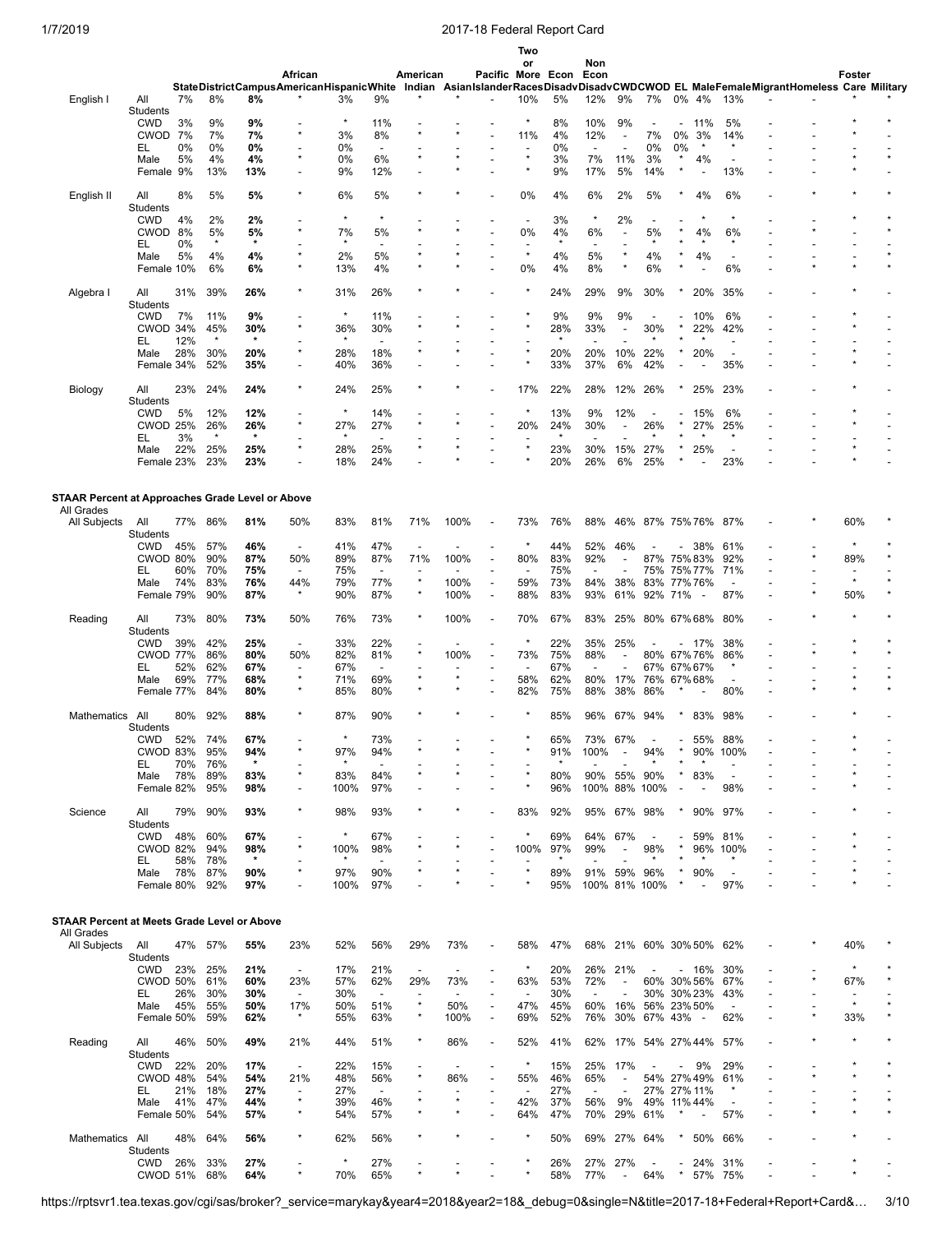|                                                         |                        |            |            |                |                                          |                |                                 |                          |                          |                          | Two<br>or                       |                | Non                      |                          |                          |                          |                          |                          |                                                                                         |                          |  |
|---------------------------------------------------------|------------------------|------------|------------|----------------|------------------------------------------|----------------|---------------------------------|--------------------------|--------------------------|--------------------------|---------------------------------|----------------|--------------------------|--------------------------|--------------------------|--------------------------|--------------------------|--------------------------|-----------------------------------------------------------------------------------------|--------------------------|--|
|                                                         |                        |            |            |                | African                                  |                |                                 | American                 |                          | Pacific More Econ        |                                 |                | Econ                     |                          |                          |                          |                          |                          |                                                                                         | Foster                   |  |
|                                                         |                        |            |            |                | StateDistrictCampusAmericanHispanicWhite |                |                                 |                          |                          |                          |                                 |                |                          |                          |                          |                          |                          |                          | Indian AsianIslanderRacesDisadvDisadvCWDCWOD EL MaleFemaleMigrantHomeless Care Military |                          |  |
| English I                                               | All                    | 7%         | 8%         | 8%             |                                          | 3%             | 9%                              |                          |                          |                          | 10%                             | 5%             | 12%                      | 9%                       | 7%                       |                          | 0% 4%                    | 13%                      |                                                                                         |                          |  |
|                                                         | Students<br><b>CWD</b> | 3%         | 9%         |                |                                          | $\star$        | 11%                             |                          |                          |                          | $\star$                         | 8%             | 10%                      | 9%                       |                          |                          | 11%                      | 5%                       |                                                                                         |                          |  |
|                                                         | CWOD 7%                |            | 7%         | 9%<br>7%       | $\star$                                  | 3%             | 8%                              | $\star$                  |                          |                          | 11%                             | 4%             | 12%                      | $\overline{\phantom{a}}$ | 7%                       | 0%                       | 3%                       | 14%                      |                                                                                         |                          |  |
|                                                         | EL                     | 0%         | 0%         | 0%             |                                          | 0%             | $\overline{\phantom{a}}$        |                          |                          |                          |                                 | 0%             | $\overline{\phantom{a}}$ | $\overline{a}$           | 0%                       | 0%                       | $\star$                  | $\star$                  |                                                                                         |                          |  |
|                                                         | Male                   | 5%         | 4%         | 4%             | $\star$                                  | 0%             | 6%                              | $^{\star}$               |                          |                          | $\star$                         | 3%             | 7%                       | 11%                      | 3%                       |                          | 4%                       |                          |                                                                                         |                          |  |
|                                                         | Female 9%              |            | 13%        | 13%            |                                          | 9%             | 12%                             |                          |                          |                          |                                 | 9%             | 17%                      | 5%                       | 14%                      |                          |                          | 13%                      |                                                                                         |                          |  |
|                                                         |                        |            |            |                |                                          |                |                                 |                          |                          |                          |                                 |                |                          |                          |                          |                          |                          |                          |                                                                                         |                          |  |
| English II                                              | All                    | 8%         | 5%         | 5%             |                                          | 6%             | 5%                              |                          |                          |                          | 0%                              | 4%             | 6%                       | 2%                       | 5%                       |                          | 4%                       | 6%                       |                                                                                         |                          |  |
|                                                         | Students<br><b>CWD</b> | 4%         | 2%         | 2%             |                                          | $\star$        | $\star$                         |                          |                          |                          | $\overline{\phantom{a}}$        | 3%             | $\star$                  | 2%                       | $\overline{\phantom{a}}$ |                          |                          |                          |                                                                                         |                          |  |
|                                                         | CWOD 8%                |            | 5%         | 5%             |                                          | 7%             | 5%                              |                          |                          |                          | 0%                              | 4%             | 6%                       |                          | 5%                       |                          | 4%                       | 6%                       |                                                                                         |                          |  |
|                                                         | EL                     | 0%         |            | $\star$        |                                          |                |                                 |                          |                          |                          |                                 |                |                          |                          |                          |                          |                          |                          |                                                                                         |                          |  |
|                                                         | Male                   | 5%         | 4%         | 4%             |                                          | 2%             | 5%                              |                          |                          |                          | $\star$                         | 4%             | 5%                       |                          | 4%                       |                          | 4%                       |                          |                                                                                         |                          |  |
|                                                         | Female 10%             |            | 6%         | 6%             |                                          | 13%            | 4%                              |                          |                          |                          | 0%                              | 4%             | 8%                       | $\star$                  | 6%                       |                          |                          | 6%                       |                                                                                         |                          |  |
|                                                         |                        |            |            |                |                                          |                |                                 |                          |                          |                          |                                 |                |                          |                          |                          |                          |                          |                          |                                                                                         |                          |  |
| Algebra I                                               | All                    | 31%        | 39%        | 26%            |                                          | 31%            | 26%                             |                          |                          |                          |                                 | 24%            | 29%                      | 9%                       | 30%                      |                          | 20%                      | 35%                      |                                                                                         |                          |  |
|                                                         | Students               |            |            |                |                                          | $\star$        |                                 |                          |                          |                          |                                 |                |                          |                          |                          |                          |                          |                          |                                                                                         |                          |  |
|                                                         | <b>CWD</b>             | 7%         | 11%        | 9%             |                                          |                | 11%                             |                          |                          |                          |                                 | 9%             | 9%                       | 9%                       | $\overline{\phantom{a}}$ |                          | 10%                      | 6%                       |                                                                                         |                          |  |
|                                                         | CWOD 34%<br>EL         | 12%        | 45%        | 30%<br>$\star$ |                                          | 36%<br>$\star$ | 30%<br>$\overline{a}$           |                          |                          |                          |                                 | 28%<br>$\star$ | 33%                      |                          | 30%                      |                          | 22%                      | 42%                      |                                                                                         |                          |  |
|                                                         | Male                   | 28%        | 30%        | 20%            |                                          | 28%            | 18%                             |                          |                          |                          |                                 | 20%            | 20%                      | 10%                      | 22%                      |                          | 20%                      |                          |                                                                                         |                          |  |
|                                                         | Female 34%             |            | 52%        | 35%            |                                          | 40%            | 36%                             |                          |                          |                          |                                 | 33%            | 37%                      | 6%                       | 42%                      |                          |                          | 35%                      |                                                                                         |                          |  |
|                                                         |                        |            |            |                |                                          |                |                                 |                          |                          |                          |                                 |                |                          |                          |                          |                          |                          |                          |                                                                                         |                          |  |
| Biology                                                 | All                    | 23%        | 24%        | 24%            |                                          | 24%            | 25%                             |                          |                          |                          | 17%                             | 22%            | 28%                      | 12%                      | 26%                      |                          | 25%                      | 23%                      |                                                                                         |                          |  |
|                                                         | Students               |            |            |                |                                          |                |                                 |                          |                          |                          |                                 |                |                          |                          |                          |                          |                          |                          |                                                                                         |                          |  |
|                                                         | <b>CWD</b>             | 5%         | 12%        | 12%            |                                          | $\star$        | 14%                             |                          |                          |                          | $\star$                         | 13%            | 9%                       | 12%                      |                          |                          | 15%                      | 6%                       |                                                                                         |                          |  |
|                                                         | <b>CWOD 25%</b>        |            | 26%        | 26%<br>$\star$ | $\star$                                  | 27%            | 27%                             | $^{\star}$               |                          |                          | 20%                             | 24%            | 30%                      |                          | 26%                      |                          | 27%                      | 25%                      |                                                                                         |                          |  |
|                                                         | EL                     | 3%         |            |                | $\star$                                  |                | $\overline{a}$                  | $\star$                  |                          |                          | $\star$                         |                |                          |                          |                          |                          |                          |                          |                                                                                         |                          |  |
|                                                         | Male<br>Female 23%     | 22%        | 25%<br>23% | 25%<br>23%     |                                          | 28%<br>18%     | 25%<br>24%                      |                          |                          |                          |                                 | 23%<br>20%     | 30%<br>26%               | 15%<br>6%                | 27%<br>25%               |                          | 25%                      | 23%                      |                                                                                         |                          |  |
|                                                         |                        |            |            |                |                                          |                |                                 |                          |                          |                          |                                 |                |                          |                          |                          |                          |                          |                          |                                                                                         |                          |  |
|                                                         |                        |            |            |                |                                          |                |                                 |                          |                          |                          |                                 |                |                          |                          |                          |                          |                          |                          |                                                                                         |                          |  |
| <b>STAAR Percent at Approaches Grade Level or Above</b> |                        |            |            |                |                                          |                |                                 |                          |                          |                          |                                 |                |                          |                          |                          |                          |                          |                          |                                                                                         |                          |  |
| All Grades                                              |                        |            |            |                |                                          |                |                                 |                          |                          |                          |                                 |                |                          |                          |                          |                          |                          |                          |                                                                                         |                          |  |
| All Subjects                                            | All                    | 77%        | 86%        | 81%            | 50%                                      | 83%            | 81%                             | 71%                      | 100%                     | $\overline{\phantom{a}}$ | 73%                             | 76%            | 88%                      |                          | 46% 87% 75% 76%          |                          |                          | 87%                      |                                                                                         | 60%                      |  |
|                                                         | Students               |            |            |                |                                          |                |                                 |                          |                          |                          |                                 |                |                          |                          |                          |                          |                          |                          |                                                                                         |                          |  |
|                                                         | <b>CWD</b>             | 45%        | 57%        | 46%            | $\blacksquare$                           | 41%            | 47%                             | ÷                        |                          |                          | $\ast$                          | 44%            | 52%                      | 46%                      |                          |                          | 38%                      | 61%                      |                                                                                         |                          |  |
|                                                         | CWOD 80%               |            | 90%        | 87%            | 50%                                      | 89%            | 87%                             | 71%                      | 100%                     | $\overline{a}$           | 80%                             | 83%            | 92%                      |                          | 87%                      |                          | 75%83%                   | 92%                      |                                                                                         | 89%                      |  |
|                                                         | EL<br>Male             | 60%<br>74% | 70%<br>83% | 75%<br>76%     | 44%                                      | 75%<br>79%     | $\overline{\phantom{a}}$<br>77% | $\star$                  | 100%                     | $\overline{\phantom{a}}$ | $\overline{\phantom{a}}$<br>59% | 75%<br>73%     | 84%                      | 38%                      | 75%<br>83% 77% 76%       |                          | 75% 77%                  | 71%<br>$\overline{a}$    |                                                                                         | $\star$                  |  |
|                                                         | Female 79%             |            | 90%        | 87%            |                                          | 90%            | 87%                             | $^\star$                 | 100%                     | $\overline{\phantom{a}}$ | 88%                             | 83%            | 93%                      | 61%                      | 92% 71%                  |                          | $\overline{\phantom{a}}$ | 87%                      |                                                                                         | 50%                      |  |
|                                                         |                        |            |            |                |                                          |                |                                 |                          |                          |                          |                                 |                |                          |                          |                          |                          |                          |                          |                                                                                         |                          |  |
| Reading                                                 | All                    | 73%        | 80%        | 73%            | 50%                                      | 76%            | 73%                             |                          | 100%                     | $\overline{a}$           | 70%                             | 67%            | 83%                      | 25%                      | 80% 67% 68%              |                          |                          | 80%                      |                                                                                         |                          |  |
|                                                         | Students               |            |            |                |                                          |                |                                 |                          |                          |                          |                                 |                |                          |                          |                          |                          |                          |                          |                                                                                         |                          |  |
|                                                         | <b>CWD</b>             | 39%        | 42%        | 25%            | $\overline{\phantom{0}}$                 | 33%            | 22%                             |                          |                          |                          | $\star$                         | 22%            | 35%                      | 25%                      |                          | $\overline{\phantom{0}}$ | 17%                      | 38%                      |                                                                                         |                          |  |
|                                                         | <b>CWOD 77%</b>        |            | 86%        | 80%            | 50%                                      | 82%            | 81%                             | $\star$                  | 100%                     |                          | 73%                             | 75%            | 88%                      |                          | 80% 67% 76%              |                          |                          | 86%                      |                                                                                         |                          |  |
|                                                         | EL                     | 52%        | 62%        | 67%            | $\overline{\phantom{0}}$<br>$\star$      | 67%            | $\overline{\phantom{a}}$        |                          |                          |                          | $\overline{\phantom{a}}$        | 67%            | $\overline{a}$           |                          | 67% 67% 67%              |                          |                          | $^\star$                 |                                                                                         |                          |  |
|                                                         | Male                   | 69%        | 77%        | 68%            |                                          | 71%            | 69%                             |                          |                          |                          | 58%                             | 62%            | 80%                      | 17%                      | 76%                      |                          | 67%68%                   |                          |                                                                                         |                          |  |
|                                                         | Female 77%             |            | 84%        | 80%            |                                          | 85%            | 80%                             |                          |                          |                          | 82%                             | 75%            | 88%                      | 38%                      | 86%                      |                          |                          | 80%                      |                                                                                         |                          |  |
| <b>Mathematics</b>                                      | All                    | 80%        | 92%        | 88%            |                                          | 87%            | 90%                             |                          |                          |                          |                                 | 85%            | 96%                      | 67%                      | 94%                      |                          | 83%                      | 98%                      |                                                                                         |                          |  |
|                                                         | Students               |            |            |                |                                          |                |                                 |                          |                          |                          |                                 |                |                          |                          |                          |                          |                          |                          |                                                                                         |                          |  |
|                                                         | <b>CWD</b>             | 52%        | 74%        | 67%            |                                          | $\star$        | 73%                             |                          |                          |                          |                                 | 65%            | 73%                      | 67%                      |                          |                          | 55%                      | 88%                      |                                                                                         |                          |  |
|                                                         | CWOD 83%               |            | 95%        | 94%            |                                          | 97%            | 94%                             |                          |                          |                          |                                 | 91%            | 100%                     |                          | 94%                      |                          | 90%                      | 100%                     |                                                                                         |                          |  |
|                                                         | EL                     | 70%        | 76%        | $\star$        |                                          |                |                                 |                          |                          |                          |                                 |                |                          |                          |                          |                          |                          |                          |                                                                                         |                          |  |
|                                                         | Male                   | 78%        | 89%        | 83%            |                                          | 83%            | 84%                             |                          |                          |                          |                                 | 80%            | 90%                      | 55%                      | 90%                      |                          | 83%                      |                          |                                                                                         |                          |  |
|                                                         | Female 82%             |            | 95%        | 98%            |                                          | 100%           | 97%                             |                          |                          |                          |                                 | 96%            | 100%                     |                          | 88% 100%                 |                          |                          | 98%                      |                                                                                         |                          |  |
|                                                         |                        |            |            |                | $\star$                                  |                |                                 |                          |                          |                          |                                 |                |                          |                          |                          |                          |                          |                          |                                                                                         |                          |  |
| Science                                                 | All                    | 79%        | 90%        | 93%            |                                          | 98%            | 93%                             |                          |                          |                          | 83%                             | 92%            | 95%                      | 67%                      | 98%                      |                          | 90%                      | 97%                      |                                                                                         |                          |  |
|                                                         | Students<br><b>CWD</b> | 48%        | 60%        | 67%            |                                          | $\star$        | 67%                             |                          |                          |                          | $^\star$                        | 69%            | 64%                      | 67%                      |                          |                          | 59%                      | 81%                      |                                                                                         |                          |  |
|                                                         | CWOD 82%               |            | 94%        | 98%            | $\star$                                  | 100%           | 98%                             | $\star$                  |                          |                          | 100%                            | 97%            | 99%                      | $\overline{\phantom{a}}$ | 98%                      |                          | 96%                      | 100%                     |                                                                                         |                          |  |
|                                                         | EL                     | 58%        | 78%        | $\star$        |                                          | $\star$        | $\overline{\phantom{a}}$        |                          |                          |                          |                                 | $\star$        |                          |                          |                          |                          |                          | *                        |                                                                                         |                          |  |
|                                                         | Male                   | 78%        | 87%        | 90%            | $\star$                                  | 97%            | 90%                             |                          |                          |                          | $\star$                         | 89%            | 91%                      | 59%                      | 96%                      |                          | 90%                      | $\overline{\phantom{a}}$ |                                                                                         |                          |  |
|                                                         | Female 80%             |            | 92%        | 97%            |                                          | 100%           | 97%                             |                          |                          |                          |                                 | 95%            |                          |                          | 100% 81% 100%            |                          | $\overline{\phantom{a}}$ | 97%                      |                                                                                         |                          |  |
|                                                         |                        |            |            |                |                                          |                |                                 |                          |                          |                          |                                 |                |                          |                          |                          |                          |                          |                          |                                                                                         |                          |  |
|                                                         |                        |            |            |                |                                          |                |                                 |                          |                          |                          |                                 |                |                          |                          |                          |                          |                          |                          |                                                                                         |                          |  |
| STAAR Percent at Meets Grade Level or Above             |                        |            |            |                |                                          |                |                                 |                          |                          |                          |                                 |                |                          |                          |                          |                          |                          |                          |                                                                                         |                          |  |
| All Grades<br>All Subjects                              | All                    |            | 47% 57%    | 55%            | 23%                                      | 52%            | 56%                             | 29%                      | 73%                      |                          | 58%                             | 47%            | 68%                      |                          | 21% 60% 30% 50%          |                          |                          | 62%                      |                                                                                         | 40%                      |  |
|                                                         | Students               |            |            |                |                                          |                |                                 |                          |                          |                          |                                 |                |                          |                          |                          |                          |                          |                          |                                                                                         |                          |  |
|                                                         | CWD                    | 23%        | 25%        | 21%            | $\overline{\phantom{a}}$                 | 17%            | 21%                             | $\overline{\phantom{a}}$ |                          |                          | $^\star$                        | 20%            | 26%                      | 21%                      |                          |                          | - 16%                    | 30%                      |                                                                                         |                          |  |
|                                                         | CWOD 50%               |            | 61%        | 60%            | 23%                                      | 57%            | 62%                             | 29%                      | 73%                      |                          | 63%                             | 53%            | 72%                      |                          | 60% 30% 56%              |                          |                          | 67%                      |                                                                                         | 67%                      |  |
|                                                         | EL                     | 26%        | 30%        | 30%            | $\overline{\phantom{a}}$                 | 30%            | $\overline{\phantom{a}}$        | $\overline{\phantom{a}}$ | $\overline{\phantom{a}}$ | $\overline{\phantom{a}}$ | $\overline{\phantom{a}}$        | 30%            | $\overline{a}$           | $\overline{\phantom{a}}$ | 30% 30% 23%              |                          |                          | 43%                      |                                                                                         | $\overline{\phantom{a}}$ |  |
|                                                         | Male                   | 45%        | 55%        | 50%            | 17%                                      | 50%            | 51%                             | $\star$                  | 50%                      | $\overline{\phantom{a}}$ | 47%                             | 45%            | 60%                      | 16%                      | 56% 23% 50%              |                          |                          | $\blacksquare$           |                                                                                         |                          |  |
|                                                         | Female 50%             |            | 59%        | 62%            |                                          | 55%            | 63%                             | $\star$                  | 100%                     | $\overline{\phantom{a}}$ | 69%                             | 52%            | 76%                      | 30%                      | 67% 43% -                |                          |                          | 62%                      |                                                                                         | 33%                      |  |
|                                                         |                        |            |            |                |                                          |                |                                 | $^\star$                 |                          |                          |                                 |                |                          |                          |                          |                          |                          |                          |                                                                                         |                          |  |
| Reading                                                 | All                    | 46%        | 50%        | 49%            | 21%                                      | 44%            | 51%                             |                          | 86%                      | $\overline{\phantom{a}}$ | 52%                             | 41%            | 62%                      |                          | 17% 54% 27%44%           |                          |                          | 57%                      |                                                                                         |                          |  |
|                                                         | Students<br>CWD        | 22%        | 20%        | 17%            | $\blacksquare$                           | 22%            | 15%                             | $\overline{\phantom{a}}$ |                          | $\overline{\phantom{a}}$ | $^\star$                        | 15%            | 25%                      | 17%                      |                          |                          | 9%                       | 29%                      |                                                                                         |                          |  |
|                                                         | CWOD 48%               |            | 54%        | 54%            | 21%                                      | 48%            | 56%                             | $^{\star}$               | 86%                      | $\overline{a}$           | 55%                             | 46%            | 65%                      | $\overline{a}$           | 54% 27% 49%              |                          |                          | 61%                      |                                                                                         |                          |  |
|                                                         | EL.                    | 21%        | 18%        | 27%            | $\blacksquare$                           | 27%            |                                 |                          |                          |                          | $\overline{a}$                  | 27%            | $\overline{\phantom{a}}$ |                          | 27% 27% 11%              |                          |                          |                          |                                                                                         |                          |  |
|                                                         | Male                   | 41%        | 47%        | 44%            | $\star$                                  | 39%            | 46%                             | $\star$                  |                          |                          | 42%                             | 37%            | 56%                      | 9%                       | 49%                      |                          | 11% 44%                  |                          |                                                                                         |                          |  |
|                                                         | Female 50%             |            | 54%        | 57%            | $\star$                                  | 54%            | 57%                             |                          |                          |                          | 64%                             | 47%            | 70%                      | 29%                      | 61%                      | $\star$                  | $\overline{\phantom{a}}$ | 57%                      |                                                                                         |                          |  |
|                                                         |                        |            |            |                |                                          |                |                                 |                          |                          |                          |                                 |                |                          |                          |                          |                          |                          |                          |                                                                                         |                          |  |
| Mathematics All                                         |                        | 48%        | 64%        | 56%            | $\star$                                  | 62%            | 56%                             |                          |                          |                          | $\ast$                          | 50%            | 69%                      | 27%                      | 64%                      |                          | 50%                      | 66%                      |                                                                                         |                          |  |
|                                                         | Students               |            |            |                |                                          |                |                                 |                          |                          |                          |                                 |                |                          |                          |                          |                          |                          |                          |                                                                                         |                          |  |
|                                                         | CWD                    | 26%        | 33%        | 27%            |                                          | $\star$        | 27%                             | $\star$                  |                          |                          |                                 | 26%            | 27%                      | 27%                      |                          |                          | 24%                      | 31%                      |                                                                                         |                          |  |
|                                                         | CWOD 51% 68%           |            |            | 64%            |                                          | 70%            | 65%                             |                          |                          |                          |                                 | 58%            | 77%                      | $\overline{\phantom{a}}$ | 64%                      | $^\star$                 |                          | 57% 75%                  |                                                                                         |                          |  |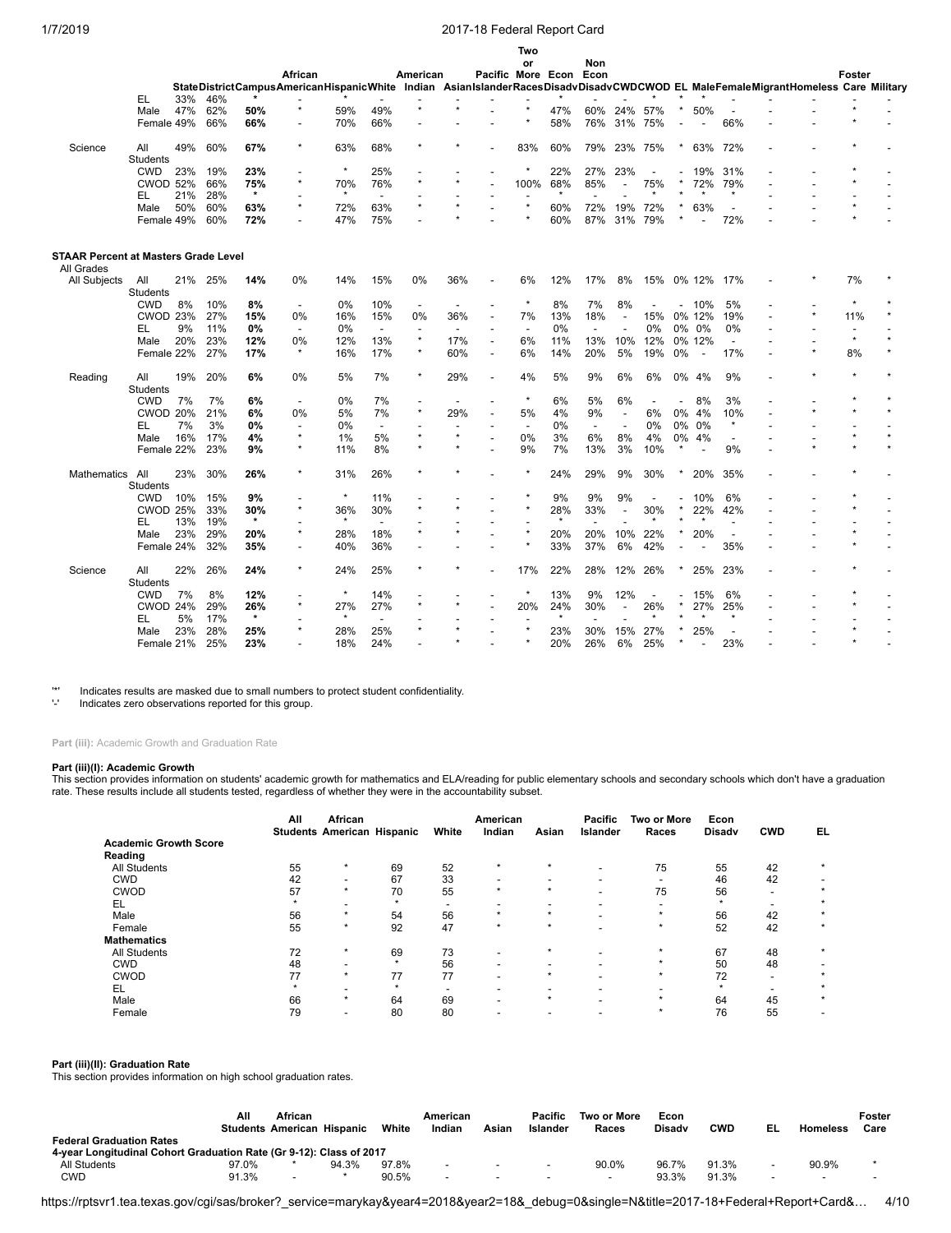|                                             |                 |     |         |                |                                                                                                                                  |         |                          |                          |                          |                          | Two                      |         |                          |                          |     |    |                          |                          |  |         |  |
|---------------------------------------------|-----------------|-----|---------|----------------|----------------------------------------------------------------------------------------------------------------------------------|---------|--------------------------|--------------------------|--------------------------|--------------------------|--------------------------|---------|--------------------------|--------------------------|-----|----|--------------------------|--------------------------|--|---------|--|
|                                             |                 |     |         |                |                                                                                                                                  |         |                          |                          |                          |                          | or                       |         | Non                      |                          |     |    |                          |                          |  |         |  |
|                                             |                 |     |         |                | African                                                                                                                          |         |                          | American                 |                          | Pacific More Econ Econ   |                          |         |                          |                          |     |    |                          |                          |  | Foster  |  |
|                                             |                 |     |         |                | StateDistrictCampusAmericanHispanicWhite Indian AsianIslanderRacesDisadvDisadvCWDCWOD EL MaleFemaleMigrantHomeless Care Military |         |                          |                          |                          |                          |                          |         |                          |                          |     |    |                          |                          |  |         |  |
|                                             | EL              | 33% | 46%     |                | $\star$                                                                                                                          |         |                          | $\star$                  |                          |                          |                          |         |                          |                          |     |    |                          |                          |  |         |  |
|                                             | Male            | 47% | 62%     | 50%            |                                                                                                                                  | 59%     | 49%                      |                          |                          |                          |                          | 47%     | 60%                      | 24%                      | 57% |    | 50%                      |                          |  |         |  |
|                                             | Female 49%      |     | 66%     | 66%            |                                                                                                                                  | 70%     | 66%                      |                          |                          |                          |                          | 58%     | 76%                      | 31%                      | 75% |    |                          | 66%                      |  |         |  |
| Science                                     | All             | 49% | 60%     | 67%            | $\star$                                                                                                                          | 63%     | 68%                      |                          |                          |                          | 83%                      | 60%     | 79%                      | 23%                      | 75% |    | 63%                      | 72%                      |  |         |  |
|                                             | Students        |     |         |                |                                                                                                                                  |         |                          |                          |                          |                          |                          |         |                          |                          |     |    |                          |                          |  |         |  |
|                                             | <b>CWD</b>      | 23% | 19%     | 23%            |                                                                                                                                  | $\star$ | 25%                      |                          |                          |                          |                          | 22%     | 27%                      | 23%                      |     |    | 19%                      | 31%                      |  |         |  |
|                                             | <b>CWOD 52%</b> |     | 66%     | 75%            | $\star$                                                                                                                          | 70%     | 76%                      | $\star$                  |                          |                          | 100%                     | 68%     | 85%                      |                          | 75% |    | 72%                      | 79%                      |  |         |  |
|                                             | EL              | 21% | 28%     | $\star$        |                                                                                                                                  | $\star$ | $\overline{\phantom{a}}$ |                          |                          |                          |                          | $\star$ |                          |                          |     |    |                          | $\star$                  |  |         |  |
|                                             | Male            | 50% | 60%     | 63%            | $\star$                                                                                                                          | 72%     | 63%                      | $\star$                  |                          |                          |                          | 60%     | 72%                      | 19%                      | 72% |    | 63%                      |                          |  |         |  |
|                                             |                 |     |         |                |                                                                                                                                  |         |                          |                          |                          |                          |                          |         |                          |                          |     |    |                          |                          |  |         |  |
|                                             | Female 49%      |     | 60%     | 72%            |                                                                                                                                  | 47%     | 75%                      |                          |                          |                          |                          | 60%     | 87%                      | 31%                      | 79% |    |                          | 72%                      |  |         |  |
| <b>STAAR Percent at Masters Grade Level</b> |                 |     |         |                |                                                                                                                                  |         |                          |                          |                          |                          |                          |         |                          |                          |     |    |                          |                          |  |         |  |
| All Grades<br>All Subjects                  | All             |     | 21% 25% | 14%            | 0%                                                                                                                               | 14%     | 15%                      | 0%                       | 36%                      |                          | 6%                       | 12%     | 17%                      | 8%                       | 15% |    | 0% 12%                   | 17%                      |  | 7%      |  |
|                                             | Students        |     |         |                |                                                                                                                                  |         |                          |                          |                          |                          |                          |         |                          |                          |     |    |                          |                          |  |         |  |
|                                             | <b>CWD</b>      | 8%  | 10%     | 8%             | $\overline{\phantom{a}}$                                                                                                         | 0%      | 10%                      | $\overline{\phantom{a}}$ | $\overline{\phantom{a}}$ | $\overline{\phantom{a}}$ | $\star$                  | 8%      | 7%                       | 8%                       |     |    | 10%                      | 5%                       |  |         |  |
|                                             | <b>CWOD 23%</b> |     | 27%     | 15%            | 0%                                                                                                                               | 16%     | 15%                      | 0%                       | 36%                      | $\overline{\phantom{a}}$ | 7%                       | 13%     | 18%                      | $\overline{\phantom{a}}$ | 15% |    | 0% 12%                   | 19%                      |  | 11%     |  |
|                                             | EL              | 9%  | 11%     | 0%             | $\overline{\phantom{a}}$                                                                                                         | 0%      | $\overline{\phantom{a}}$ | $\overline{a}$           |                          |                          | $\overline{\phantom{a}}$ | 0%      | $\overline{\phantom{a}}$ |                          | 0%  |    | 0% 0%                    | 0%                       |  |         |  |
|                                             | Male            | 20% | 23%     | 12%            | $0\%$                                                                                                                            | 12%     | 13%                      | $^\star$                 | 17%                      | $\overline{\phantom{a}}$ | 6%                       | 11%     | 13%                      | 10%                      | 12% |    | 0% 12%                   | $\overline{\phantom{a}}$ |  | $\star$ |  |
|                                             | Female 22%      |     | 27%     | 17%            | $\star$                                                                                                                          | 16%     | 17%                      | $\star$                  | 60%                      | $\overline{\phantom{a}}$ | 6%                       | 14%     | 20%                      | 5%                       | 19% | 0% | $\overline{\phantom{a}}$ | 17%                      |  | 8%      |  |
|                                             |                 |     |         |                |                                                                                                                                  |         |                          | $\star$                  |                          |                          |                          |         |                          |                          |     |    |                          |                          |  |         |  |
| Reading                                     | All             | 19% | 20%     | 6%             | 0%                                                                                                                               | 5%      | 7%                       |                          | 29%                      | $\overline{a}$           | 4%                       | 5%      | 9%                       | 6%                       | 6%  |    | 0% 4%                    | 9%                       |  |         |  |
|                                             | <b>Students</b> |     |         |                |                                                                                                                                  |         |                          |                          |                          |                          | $^\star$                 |         |                          |                          |     |    |                          |                          |  |         |  |
|                                             | <b>CWD</b>      | 7%  | 7%      | 6%             | $\blacksquare$                                                                                                                   | 0%      | 7%                       | $\overline{a}$           |                          | ۰                        |                          | 6%      | 5%                       | 6%                       |     |    | 8%                       | 3%                       |  |         |  |
|                                             | <b>CWOD 20%</b> |     | 21%     | 6%             | 0%                                                                                                                               | 5%      | 7%                       | $\star$                  | 29%                      | $\overline{\phantom{a}}$ | 5%                       | 4%      | 9%                       | $\overline{a}$           | 6%  | 0% | 4%                       | 10%                      |  |         |  |
|                                             | EL              | 7%  | 3%      | 0%             | $\overline{\phantom{a}}$                                                                                                         | 0%      | $\blacksquare$           |                          |                          |                          | $\overline{a}$           | 0%      | $\overline{\phantom{a}}$ |                          | 0%  | 0% | 0%                       | $\star$                  |  |         |  |
|                                             | Male            | 16% | 17%     | 4%             | $\star$                                                                                                                          | 1%      | 5%                       | $\star$                  |                          |                          | 0%                       | 3%      | 6%                       | 8%                       | 4%  | 0% | 4%                       | $\overline{\phantom{a}}$ |  |         |  |
|                                             | Female 22%      |     | 23%     | 9%             | $\star$                                                                                                                          | 11%     | 8%                       |                          |                          |                          | 9%                       | 7%      | 13%                      | 3%                       | 10% |    |                          | 9%                       |  |         |  |
| Mathematics                                 | All             | 23% | 30%     | 26%            | $\star$                                                                                                                          | 31%     | 26%                      |                          |                          |                          | $\star$                  | 24%     | 29%                      | 9%                       | 30% |    | 20%                      | 35%                      |  |         |  |
|                                             | Students        |     |         |                |                                                                                                                                  |         |                          |                          |                          |                          |                          |         |                          |                          |     |    |                          |                          |  |         |  |
|                                             | <b>CWD</b>      | 10% | 15%     | 9%             |                                                                                                                                  | $\star$ | 11%                      |                          |                          |                          |                          | 9%      | 9%                       | 9%                       |     |    | 10%                      | 6%                       |  |         |  |
|                                             |                 |     |         |                | $\star$                                                                                                                          |         |                          | $\star$                  |                          |                          |                          |         |                          |                          |     |    |                          |                          |  |         |  |
|                                             | <b>CWOD 25%</b> |     | 33%     | 30%<br>$\star$ |                                                                                                                                  | 36%     | 30%                      |                          |                          |                          |                          | 28%     | 33%                      | $\overline{\phantom{a}}$ | 30% |    | 22%                      | 42%                      |  |         |  |
|                                             | EL              | 13% | 19%     |                |                                                                                                                                  |         |                          |                          |                          |                          |                          |         |                          |                          |     |    |                          |                          |  |         |  |
|                                             | Male            | 23% | 29%     | 20%            | $\star$                                                                                                                          | 28%     | 18%                      | $\star$                  |                          |                          |                          | 20%     | 20%                      | 10%                      | 22% |    | 20%                      | $\overline{\phantom{a}}$ |  |         |  |
|                                             | Female 24%      |     | 32%     | 35%            | $\overline{a}$                                                                                                                   | 40%     | 36%                      |                          |                          |                          |                          | 33%     | 37%                      | 6%                       | 42% |    |                          | 35%                      |  |         |  |
| Science                                     | All             | 22% | 26%     | 24%            | $\star$                                                                                                                          | 24%     | 25%                      |                          |                          |                          | 17%                      | 22%     | 28%                      | 12%                      | 26% |    | 25%                      | 23%                      |  |         |  |
|                                             | <b>Students</b> |     |         |                |                                                                                                                                  |         |                          |                          |                          |                          |                          |         |                          |                          |     |    |                          |                          |  |         |  |
|                                             | <b>CWD</b>      | 7%  | 8%      | 12%            |                                                                                                                                  | $\star$ | 14%                      |                          |                          |                          | $\star$                  | 13%     | 9%                       | 12%                      |     |    | 15%                      | 6%                       |  |         |  |
|                                             | <b>CWOD 24%</b> |     | 29%     | 26%            | $\star$                                                                                                                          | 27%     | 27%                      | ×                        |                          |                          | 20%                      | 24%     | 30%                      |                          | 26% |    | 27%                      | 25%                      |  |         |  |
|                                             | EL              | 5%  | 17%     | $\star$        |                                                                                                                                  | $\star$ |                          |                          |                          |                          |                          | $\star$ |                          |                          |     |    | $\star$                  | $\star$                  |  |         |  |
|                                             | Male            | 23% | 28%     | 25%            | $\star$                                                                                                                          | 28%     | 25%                      | $\star$                  |                          |                          |                          | 23%     | 30%                      | 15%                      | 27% |    | 25%                      |                          |  |         |  |
|                                             |                 |     |         |                |                                                                                                                                  |         |                          |                          |                          |                          |                          |         |                          |                          |     |    |                          | $\overline{\phantom{a}}$ |  |         |  |
|                                             | Female 21%      |     | 25%     | 23%            |                                                                                                                                  | 18%     | 24%                      |                          |                          |                          |                          | 20%     | 26%                      | 6%                       | 25% |    |                          | 23%                      |  |         |  |

'\*' Indicates results are masked due to small numbers to protect student confidentiality.

'-' Indicates zero observations reported for this group.

**Part (iii):** Academic Growth and Graduation Rate

#### **Part (iii)(I): Academic Growth**

This section provides information on students' academic growth for mathematics and ELA/reading for public elementary schools and secondary schools which don't have a graduation rate. These results include all students tested, regardless of whether they were in the accountability subset.

|                              | All | African<br><b>Students American Hispanic</b> |         | White                    | American<br>Indian       | Asian   | <b>Pacific</b><br>Islander | <b>Two or More</b><br>Races | Econ<br><b>Disady</b> | <b>CWD</b>               | EL      |
|------------------------------|-----|----------------------------------------------|---------|--------------------------|--------------------------|---------|----------------------------|-----------------------------|-----------------------|--------------------------|---------|
| <b>Academic Growth Score</b> |     |                                              |         |                          |                          |         |                            |                             |                       |                          |         |
| Reading                      |     |                                              |         |                          |                          |         |                            |                             |                       |                          |         |
| All Students                 | 55  | $\star$                                      | 69      | 52                       | $\star$                  | $\star$ | -                          | 75                          | 55                    | 42                       |         |
| <b>CWD</b>                   | 42  | -                                            | 67      | 33                       |                          |         |                            |                             | 46                    | 42                       |         |
| <b>CWOD</b>                  | 57  | $\star$                                      | 70      | 55                       | $\star$                  | $\star$ |                            | 75                          | 56                    | $\overline{\phantom{0}}$ |         |
| EL                           |     |                                              | $\star$ | $\overline{\phantom{0}}$ | -                        |         |                            |                             | $\star$               |                          | $\star$ |
| Male                         | 56  | $\star$                                      | 54      | 56                       | $\star$                  | $\star$ |                            | $\star$                     | 56                    | 42                       | $\star$ |
| Female                       | 55  | $\star$                                      | 92      | 47                       | $\star$                  | $\star$ | $\overline{\phantom{0}}$   | $\star$                     | 52                    | 42                       | $\star$ |
| <b>Mathematics</b>           |     |                                              |         |                          |                          |         |                            |                             |                       |                          |         |
| All Students                 | 72  | $\star$                                      | 69      | 73                       | $\overline{\phantom{a}}$ | $\star$ | $\overline{\phantom{0}}$   | $\star$                     | 67                    | 48                       |         |
| <b>CWD</b>                   | 48  | $\overline{\phantom{0}}$                     | $\star$ | 56                       | $\overline{\phantom{0}}$ |         | $\overline{\phantom{0}}$   | $\star$                     | 50                    | 48                       |         |
| <b>CWOD</b>                  | 77  | $\star$                                      | 77      | 77                       | $\overline{\phantom{a}}$ | ٠       |                            | $\star$                     | 72                    | $\overline{\phantom{0}}$ |         |
| EL                           |     | -                                            | $\star$ |                          | -                        |         |                            |                             | $\star$               |                          | $\star$ |
| Male                         | 66  | $\star$                                      | 64      | 69                       | $\overline{\phantom{a}}$ | $\star$ |                            | $\star$                     | 64                    | 45                       | $\star$ |
| Female                       | 79  | -                                            | 80      | 80                       | $\overline{\phantom{a}}$ |         | $\overline{\phantom{0}}$   | $\star$                     | 76                    | 55                       |         |

#### **Part (iii)(II): Graduation Rate**

This section provides information on high school graduation rates.

|                                                                                                        | All   | African<br><b>Students American Hispanic</b> |       | White | American<br>Indian | Asian                    | Pacific<br>Islander      | Two or More<br>Races | Econ<br><b>Disady</b> | CWD   | EL | <b>Homeless</b>          | Foster<br>Care |
|--------------------------------------------------------------------------------------------------------|-------|----------------------------------------------|-------|-------|--------------------|--------------------------|--------------------------|----------------------|-----------------------|-------|----|--------------------------|----------------|
| <b>Federal Graduation Rates</b><br>4-year Longitudinal Cohort Graduation Rate (Gr 9-12): Class of 2017 |       |                                              |       |       |                    |                          |                          |                      |                       |       |    |                          |                |
| All Students                                                                                           | 97.0% |                                              | 94.3% | 97.8% |                    | $\sim$                   | $\overline{\phantom{0}}$ | 90.0%                | 96.7%                 | 91.3% |    | 90.9%                    |                |
| CWD                                                                                                    | 91.3% |                                              |       | 90.5% |                    | $\overline{\phantom{0}}$ |                          |                      | 93.3%                 | 91.3% |    | $\overline{\phantom{0}}$ |                |

https://rptsvr1.tea.texas.gov/cgi/sas/broker?\_service=marykay&year4=2018&year2=18&\_debug=0&single=N&title=2017-18+Federal+Report+Card&… 4/10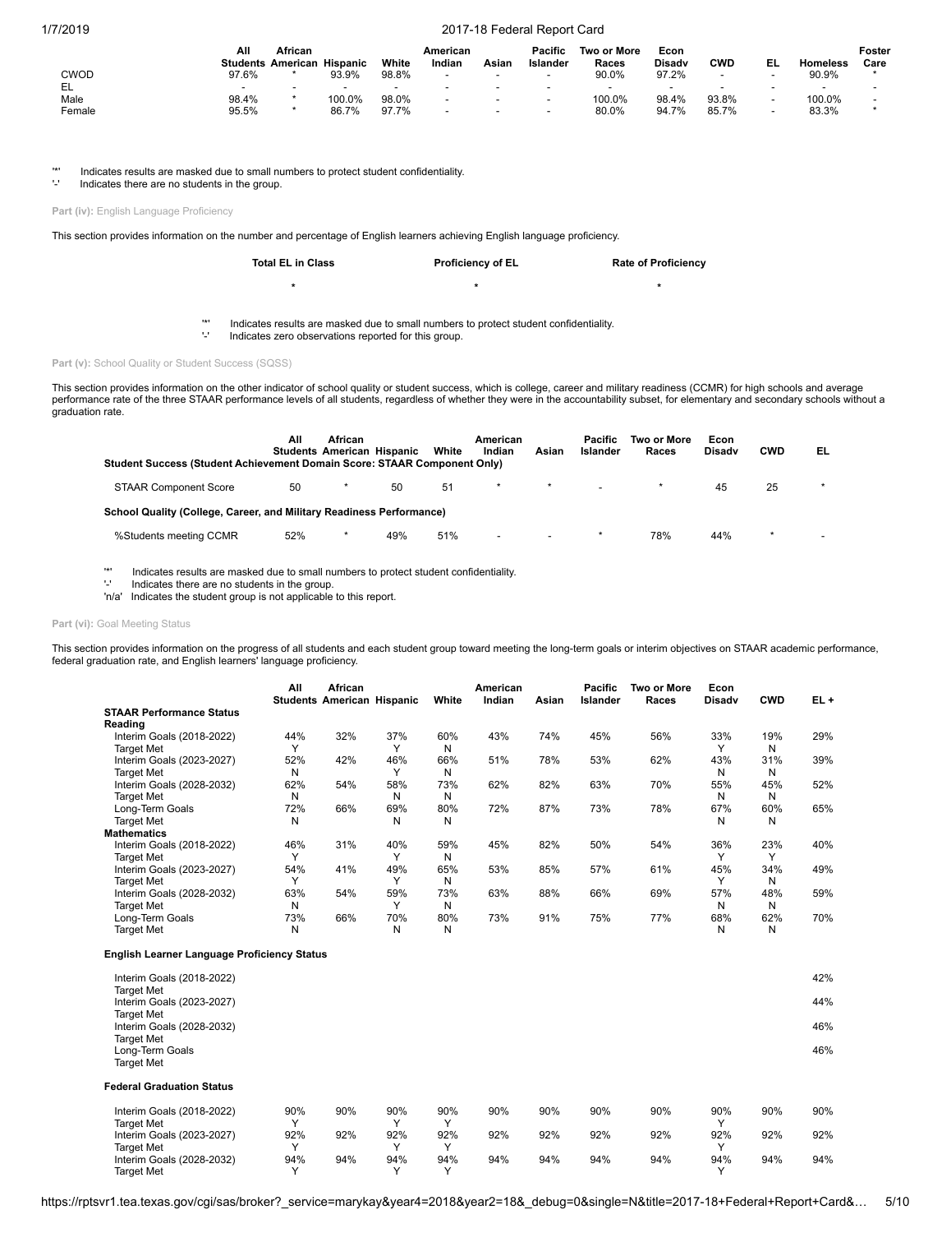|        | Αll   | African<br><b>Students American Hispanic</b> |                          | White                    | American<br>Indian       | Asian                    | Pacific<br>Islander      | <b>Two or More</b><br>Races | Econ<br><b>Disady</b> | CWD   | EL                       | <b>Homeless</b>          | Foster<br>Care |
|--------|-------|----------------------------------------------|--------------------------|--------------------------|--------------------------|--------------------------|--------------------------|-----------------------------|-----------------------|-------|--------------------------|--------------------------|----------------|
| CWOD   | 97.6% |                                              | 93.9%                    | 98.8%                    |                          | $\overline{\phantom{a}}$ |                          | 90.0%                       | 97.2%                 |       |                          | 90.9%                    |                |
| EL     |       | $\overline{\phantom{0}}$                     | $\overline{\phantom{0}}$ | $\overline{\phantom{a}}$ |                          | $\overline{\phantom{a}}$ | $\overline{\phantom{a}}$ | -                           |                       | -     |                          | $\overline{\phantom{0}}$ |                |
| Male   | 98.4% |                                              | 100.0%                   | 98.0%                    | $\overline{\phantom{0}}$ | $\overline{\phantom{a}}$ | $\overline{\phantom{a}}$ | 100.0%                      | 98.4%                 | 93.8% | $\overline{\phantom{a}}$ | 100.0%                   |                |
| Female | 95.5% |                                              | 86.7%                    | 97.7%                    | -                        | $\overline{\phantom{a}}$ | $\sim$                   | 80.0%                       | 94.7%                 | 85.7% | $\overline{\phantom{a}}$ | 83.3%                    |                |

'\*' Indicates results are masked due to small numbers to protect student confidentiality.

Indicates there are no students in the group.

Part (iv): English Language Proficiency

This section provides information on the number and percentage of English learners achieving English language proficiency.

| <b>Total EL in Class</b> | <b>Proficiency of EL</b> | <b>Rate of Proficiency</b> |
|--------------------------|--------------------------|----------------------------|
|                          |                          |                            |

'\*' Indicates results are masked due to small numbers to protect student confidentiality.

Indicates zero observations reported for this group.

Part (v): School Quality or Student Success (SQSS)

This section provides information on the other indicator of school quality or student success, which is college, career and military readiness (CCMR) for high schools and average<br>performance rate of the three STAAR perform graduation rate.

| Student Success (Student Achievement Domain Score: STAAR Component Only) | All | African<br><b>Students American Hispanic</b> |     | White | American<br>Indian       | Asian                    | Pacific<br>Islander | Two or More<br>Races | Econ<br><b>Disady</b> | <b>CWD</b> | EL                       |
|--------------------------------------------------------------------------|-----|----------------------------------------------|-----|-------|--------------------------|--------------------------|---------------------|----------------------|-----------------------|------------|--------------------------|
| <b>STAAR Component Score</b>                                             | 50  |                                              | 50  | 51    | $\star$                  |                          |                     |                      | 45                    | 25         | $\star$                  |
| School Quality (College, Career, and Military Readiness Performance)     |     |                                              |     |       |                          |                          |                     |                      |                       |            |                          |
| %Students meeting CCMR                                                   | 52% |                                              | 49% | 51%   | $\overline{\phantom{0}}$ | $\overline{\phantom{a}}$ |                     | 78%                  | 44%                   | $\star$    | $\overline{\phantom{0}}$ |

'\*' Indicates results are masked due to small numbers to protect student confidentiality.

Indicates there are no students in the group.

'n/a' Indicates the student group is not applicable to this report.

## Part (vi): Goal Meeting Status

This section provides information on the progress of all students and each student group toward meeting the long-term goals or interim objectives on STAAR academic performance, federal graduation rate, and English learners' language proficiency.

|                                 | All | <b>African</b><br><b>Students American Hispanic</b> |              | White | American<br>Indian | Asian | <b>Pacific</b><br>Islander | Two or More<br>Races | Econ<br><b>Disady</b> | <b>CWD</b>   | $EL +$ |
|---------------------------------|-----|-----------------------------------------------------|--------------|-------|--------------------|-------|----------------------------|----------------------|-----------------------|--------------|--------|
| <b>STAAR Performance Status</b> |     |                                                     |              |       |                    |       |                            |                      |                       |              |        |
| Reading                         |     |                                                     |              |       |                    |       |                            |                      |                       |              |        |
| Interim Goals (2018-2022)       | 44% | 32%                                                 | 37%          | 60%   | 43%                | 74%   | 45%                        | 56%                  | 33%                   | 19%          | 29%    |
| <b>Target Met</b>               |     |                                                     | $\checkmark$ | Ν     |                    |       |                            |                      |                       | N            |        |
| Interim Goals (2023-2027)       | 52% | 42%                                                 | 46%          | 66%   | 51%                | 78%   | 53%                        | 62%                  | 43%                   | 31%          | 39%    |
| <b>Target Met</b>               | Ν   |                                                     |              | Ν     |                    |       |                            |                      | N                     | N            |        |
| Interim Goals (2028-2032)       | 62% | 54%                                                 | 58%          | 73%   | 62%                | 82%   | 63%                        | 70%                  | 55%                   | 45%          | 52%    |
| <b>Target Met</b>               | Ν   |                                                     | N            | Ν     |                    |       |                            |                      | N                     | N            |        |
| Long-Term Goals                 | 72% | 66%                                                 | 69%          | 80%   | 72%                | 87%   | 73%                        | 78%                  | 67%                   | 60%          | 65%    |
| <b>Target Met</b>               | Ν   |                                                     | N            | Ν     |                    |       |                            |                      | N                     | N            |        |
| <b>Mathematics</b>              |     |                                                     |              |       |                    |       |                            |                      |                       |              |        |
| Interim Goals (2018-2022)       | 46% | 31%                                                 | 40%          | 59%   | 45%                | 82%   | 50%                        | 54%                  | 36%                   | 23%          | 40%    |
| <b>Target Met</b>               |     |                                                     |              | N     |                    |       |                            |                      |                       | $\checkmark$ |        |
| Interim Goals (2023-2027)       | 54% | 41%                                                 | 49%          | 65%   | 53%                | 85%   | 57%                        | 61%                  | 45%                   | 34%          | 49%    |
| <b>Target Met</b>               |     |                                                     |              | Ν     |                    |       |                            |                      |                       | N            |        |
| Interim Goals (2028-2032)       | 63% | 54%                                                 | 59%          | 73%   | 63%                | 88%   | 66%                        | 69%                  | 57%                   | 48%          | 59%    |
| <b>Target Met</b>               | Ν   |                                                     | $\checkmark$ | N     |                    |       |                            |                      | N                     | N            |        |
| Long-Term Goals                 | 73% | 66%                                                 | 70%          | 80%   | 73%                | 91%   | 75%                        | 77%                  | 68%                   | 62%          | 70%    |
| <b>Target Met</b>               | Ν   |                                                     | N            | Ν     |                    |       |                            |                      | N                     | N            |        |

### **English Learner Language Proficiency Status**

| Interim Goals (2018-2022)                                           |              |     |              |              |     |     |     |     |              |     | 42% |
|---------------------------------------------------------------------|--------------|-----|--------------|--------------|-----|-----|-----|-----|--------------|-----|-----|
| <b>Target Met</b><br>Interim Goals (2023-2027)                      |              |     |              |              |     |     |     |     |              |     | 44% |
| <b>Target Met</b><br>Interim Goals (2028-2032)<br><b>Target Met</b> |              |     |              |              |     |     |     |     |              |     | 46% |
| Long-Term Goals<br><b>Target Met</b>                                |              |     |              |              |     |     |     |     |              |     | 46% |
| <b>Federal Graduation Status</b>                                    |              |     |              |              |     |     |     |     |              |     |     |
| Interim Goals (2018-2022)                                           | 90%          | 90% | 90%          | 90%          | 90% | 90% | 90% | 90% | 90%          | 90% | 90% |
| <b>Target Met</b>                                                   | $\checkmark$ |     | v            | $\checkmark$ |     |     |     |     | $\checkmark$ |     |     |
| Interim Goals (2023-2027)                                           | 92%          | 92% | 92%          | 92%          | 92% | 92% | 92% | 92% | 92%          | 92% | 92% |
| <b>Target Met</b>                                                   | $\checkmark$ |     | $\checkmark$ | $\checkmark$ |     |     |     |     | $\checkmark$ |     |     |
| Interim Goals (2028-2032)                                           | 94%          | 94% | 94%          | 94%          | 94% | 94% | 94% | 94% | 94%          | 94% | 94% |
| <b>Target Met</b>                                                   | $\checkmark$ |     | $\checkmark$ | $\checkmark$ |     |     |     |     | $\checkmark$ |     |     |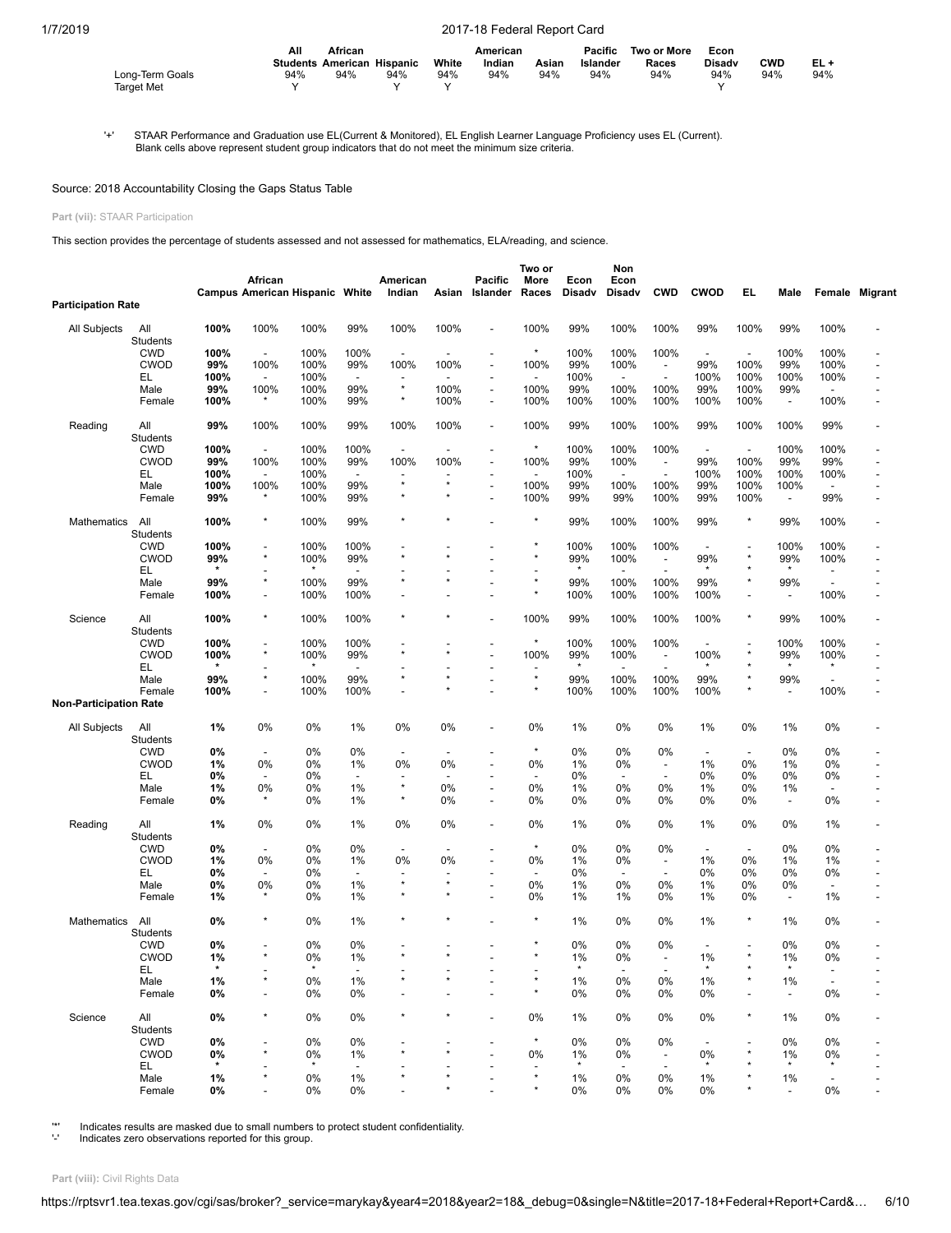|                   | Αll<br>African |                                   |     | American |        |       | Pacific  | Two or More | Econ          |            |        |
|-------------------|----------------|-----------------------------------|-----|----------|--------|-------|----------|-------------|---------------|------------|--------|
|                   |                | <b>Students American Hispanic</b> |     | White    | Indian | Asian | Islander | Races       | <b>Disady</b> | <b>CWD</b> | $EL +$ |
| Long-Term Goals   | 94%            | 94%                               | 94% | 94%      | 94%    | 94%   | 94%      | 94%         | 94%           | 94%        | 94%    |
| <b>Target Met</b> |                |                                   |     |          |        |       |          |             |               |            |        |

'+' STAAR Performance and Graduation use EL(Current & Monitored), EL English Learner Language Proficiency uses EL (Current). Blank cells above represent student group indicators that do not meet the minimum size criteria.

## Source: 2018 Accountability Closing the Gaps Status Table

# **Part (vii):** STAAR Participation

This section provides the percentage of students assessed and not assessed for mathematics, ELA/reading, and science.

|                               |                        |         | African                  | <b>Campus American Hispanic White</b> |                          | American<br>Indian       | Asian                    | <b>Pacific</b><br>Islander | Two or<br>More<br>Races  | Econ<br>Disadv | Non<br>Econ<br>Disadv    | <b>CWD</b>                     | <b>CWOD</b>              | EL                       | Male                     |                          | Female Migrant |
|-------------------------------|------------------------|---------|--------------------------|---------------------------------------|--------------------------|--------------------------|--------------------------|----------------------------|--------------------------|----------------|--------------------------|--------------------------------|--------------------------|--------------------------|--------------------------|--------------------------|----------------|
| <b>Participation Rate</b>     |                        |         |                          |                                       |                          |                          |                          |                            |                          |                |                          |                                |                          |                          |                          |                          |                |
| All Subjects                  | All<br>Students        | 100%    | 100%                     | 100%                                  | 99%                      | 100%                     | 100%                     | $\overline{a}$             | 100%                     | 99%            | 100%                     | 100%                           | 99%                      | 100%                     | 99%                      | 100%                     |                |
|                               | <b>CWD</b>             | 100%    | $\overline{\phantom{a}}$ | 100%                                  | 100%                     | $\overline{\phantom{a}}$ |                          |                            | $\star$                  | 100%           | 100%                     | 100%                           | $\overline{\phantom{a}}$ | $\overline{\phantom{a}}$ | 100%                     | 100%                     |                |
|                               | <b>CWOD</b>            | 99%     | 100%                     | 100%                                  | 99%                      | 100%                     | 100%                     | $\overline{a}$             | 100%                     | 99%            | 100%                     | ÷,                             | 99%                      | 100%                     | 99%                      | 100%                     |                |
|                               | EL                     | 100%    | $\blacksquare$           | 100%                                  | $\overline{\phantom{a}}$ |                          |                          |                            |                          | 100%           |                          | Ĭ.                             | 100%                     | 100%                     | 100%                     | 100%                     |                |
|                               | Male                   | 99%     | 100%                     | 100%                                  | 99%                      | $\star$                  | 100%                     | $\overline{a}$             | 100%                     | 99%            | 100%                     | 100%                           | 99%                      | 100%                     | 99%                      | $\overline{\phantom{a}}$ |                |
|                               | Female                 | 100%    | $\star$                  | 100%                                  | 99%                      | $\star$                  | 100%                     | $\overline{a}$             | 100%                     | 100%           | 100%                     | 100%                           | 100%                     | 100%                     | $\overline{\phantom{a}}$ | 100%                     |                |
|                               |                        |         |                          |                                       |                          |                          |                          |                            |                          |                |                          |                                |                          |                          |                          |                          |                |
| Reading                       | All<br>Students        | 99%     | 100%                     | 100%                                  | 99%                      | 100%                     | 100%                     | $\overline{\phantom{a}}$   | 100%                     | 99%            | 100%                     | 100%                           | 99%                      | 100%                     | 100%                     | 99%                      |                |
|                               | <b>CWD</b>             | 100%    | $\blacksquare$           | 100%                                  | 100%                     | $\overline{\phantom{a}}$ | $\overline{\phantom{a}}$ |                            | $^{\star}$               | 100%           | 100%                     | 100%                           | $\overline{\phantom{a}}$ | $\overline{\phantom{a}}$ | 100%                     | 100%                     |                |
|                               | <b>CWOD</b>            | 99%     | 100%                     | 100%                                  | 99%                      | 100%                     | 100%                     | $\overline{a}$             | 100%                     | 99%            | 100%                     | $\blacksquare$                 | 99%                      | 100%                     | 99%                      | 99%                      |                |
|                               | EL                     | 100%    | $\overline{\phantom{a}}$ | 100%                                  | $\blacksquare$           |                          |                          |                            | $\overline{\phantom{a}}$ | 100%           | $\overline{\phantom{a}}$ | $\overline{\phantom{a}}$       | 100%                     | 100%                     | 100%                     | 100%                     |                |
|                               | Male                   | 100%    | 100%                     | 100%                                  | 99%                      | $\star$                  | $\star$                  | $\overline{a}$             | 100%                     | 99%            | 100%                     | 100%                           | 99%                      | 100%                     | 100%                     | $\overline{\phantom{a}}$ |                |
|                               | Female                 | 99%     | $^\star$                 | 100%                                  | 99%                      |                          |                          |                            | 100%                     | 99%            | 99%                      | 100%                           | 99%                      | 100%                     | $\overline{\phantom{a}}$ | 99%                      |                |
| Mathematics                   | All                    | 100%    | $^{\star}$               | 100%                                  | 99%                      |                          |                          |                            |                          | 99%            | 100%                     | 100%                           | 99%                      | $\star$                  | 99%                      | 100%                     |                |
|                               | Students<br><b>CWD</b> | 100%    | $\overline{\phantom{a}}$ | 100%                                  | 100%                     |                          |                          |                            | $\star$                  | 100%           | 100%                     | 100%                           |                          |                          | 100%                     | 100%                     |                |
|                               | <b>CWOD</b>            | 99%     | $^{\star}$               | 100%                                  | 99%                      |                          |                          |                            |                          | 99%            | 100%                     |                                | 99%                      |                          | 99%                      | 100%                     |                |
|                               | EL                     |         |                          | ×                                     | $\overline{\phantom{a}}$ |                          |                          |                            |                          |                | $\overline{a}$           | $\overline{\phantom{a}}$<br>Ĭ. | $\star$                  |                          | $\star$                  |                          |                |
|                               |                        | 99%     | $\star$                  | 100%                                  | 99%                      |                          |                          |                            |                          | 99%            | 100%                     | 100%                           | 99%                      | $\star$                  | 99%                      | ÷,                       |                |
|                               | Male                   |         |                          |                                       |                          |                          |                          |                            | $\star$                  |                |                          |                                |                          |                          |                          |                          |                |
|                               | Female                 | 100%    | $\overline{a}$           | 100%                                  | 100%                     |                          |                          |                            |                          | 100%           | 100%                     | 100%                           | 100%                     |                          | $\overline{\phantom{a}}$ | 100%                     |                |
| Science                       | All<br><b>Students</b> | 100%    | $\star$                  | 100%                                  | 100%                     |                          |                          |                            | 100%                     | 99%            | 100%                     | 100%                           | 100%                     | $\star$                  | 99%                      | 100%                     |                |
|                               | <b>CWD</b>             | 100%    |                          | 100%                                  | 100%                     |                          |                          |                            | $\star$                  | 100%           | 100%                     | 100%                           |                          |                          | 100%                     | 100%                     |                |
|                               | <b>CWOD</b>            | 100%    | $\star$                  | 100%                                  | 99%                      |                          |                          |                            | 100%                     | 99%            | 100%                     | $\overline{\phantom{a}}$       | 100%                     |                          | 99%                      | 100%                     |                |
|                               | EL                     |         | $\overline{a}$           | $\star$                               | $\overline{a}$           |                          |                          |                            |                          | $\star$        |                          | $\overline{a}$                 | $\star$                  |                          | $\star$                  | $\star$                  |                |
|                               | Male                   | 99%     | $\star$                  | 100%                                  | 99%                      | $\star$                  | $\star$                  |                            | $\star$                  | 99%            | 100%                     | 100%                           | 99%                      |                          | 99%                      | $\overline{\phantom{a}}$ |                |
|                               | Female                 | 100%    | $\overline{\phantom{0}}$ | 100%                                  | 100%                     |                          |                          |                            | $^\star$                 | 100%           | 100%                     | 100%                           | 100%                     |                          | $\overline{\phantom{a}}$ | 100%                     |                |
| <b>Non-Participation Rate</b> |                        |         |                          |                                       |                          |                          |                          |                            |                          |                |                          |                                |                          |                          |                          |                          |                |
| All Subjects                  | All<br>Students        | 1%      | 0%                       | 0%                                    | 1%                       | 0%                       | 0%                       |                            | 0%                       | 1%             | 0%                       | 0%                             | 1%                       | 0%                       | 1%                       | 0%                       |                |
|                               | <b>CWD</b>             | 0%      | $\blacksquare$           | 0%                                    | 0%                       | $\overline{\phantom{a}}$ | $\overline{\phantom{a}}$ |                            | $\star$                  | 0%             | 0%                       | 0%                             | $\overline{\phantom{a}}$ | $\overline{\phantom{a}}$ | 0%                       | 0%                       |                |
|                               | <b>CWOD</b>            | 1%      | 0%                       | 0%                                    | 1%                       | 0%                       | 0%                       |                            | 0%                       | 1%             | 0%                       | $\overline{\phantom{a}}$       | 1%                       | 0%                       | 1%                       | 0%                       |                |
|                               | EL                     | 0%      | ÷,                       | 0%                                    | $\overline{\phantom{a}}$ |                          |                          |                            | $\overline{\phantom{a}}$ | 0%             | $\overline{\phantom{a}}$ | $\blacksquare$                 | 0%                       | 0%                       | 0%                       | 0%                       |                |
|                               | Male                   | 1%      | 0%                       | 0%                                    | 1%                       | $\star$                  | 0%                       | $\overline{a}$             | 0%                       | 1%             | 0%                       | 0%                             | 1%                       | 0%                       | 1%                       |                          |                |
|                               | Female                 | 0%      |                          | 0%                                    | 1%                       | $\star$                  | 0%                       |                            | 0%                       | 0%             | 0%                       | 0%                             | 0%                       | 0%                       | $\overline{\phantom{a}}$ | 0%                       |                |
| Reading                       | All                    | 1%      | 0%                       | 0%                                    | 1%                       | 0%                       | 0%                       | $\overline{a}$             | 0%                       | 1%             | 0%                       | 0%                             | 1%                       | 0%                       | 0%                       | 1%                       |                |
|                               | Students               |         |                          |                                       |                          |                          |                          |                            | $\star$                  |                |                          |                                |                          |                          |                          |                          |                |
|                               | <b>CWD</b>             | 0%      | $\overline{\phantom{a}}$ | 0%                                    | 0%                       |                          |                          |                            |                          | 0%             | 0%                       | 0%                             | $\overline{\phantom{a}}$ | $\overline{\phantom{a}}$ | 0%                       | 0%                       |                |
|                               | <b>CWOD</b>            | 1%      | 0%                       | 0%                                    | 1%                       | 0%                       | 0%                       | $\overline{a}$             | 0%                       | 1%             | 0%                       | $\overline{\phantom{a}}$       | 1%                       | 0%                       | 1%                       | 1%                       |                |
|                               | EL                     | 0%      |                          | 0%                                    | $\overline{\phantom{a}}$ | $\star$                  | $\star$                  |                            |                          | 0%             | $\overline{a}$           | $\overline{\phantom{a}}$       | 0%                       | 0%                       | 0%                       | 0%                       |                |
|                               | Male                   | 0%      | 0%                       | 0%                                    | 1%                       |                          |                          | $\overline{a}$             | 0%                       | 1%             | 0%                       | 0%                             | 1%                       | 0%                       | 0%                       | $\overline{\phantom{a}}$ |                |
|                               | Female                 | 1%      |                          | 0%                                    | $1\%$                    |                          |                          |                            | 0%                       | 1%             | 1%                       | 0%                             | 1%                       | 0%                       | $\overline{\phantom{a}}$ | 1%                       |                |
| <b>Mathematics</b>            | All<br>Students        | 0%      | $\star$                  | 0%                                    | 1%                       |                          |                          |                            | $\star$                  | 1%             | 0%                       | 0%                             | 1%                       | $\star$                  | 1%                       | 0%                       |                |
|                               | <b>CWD</b>             | 0%      | $\overline{\phantom{0}}$ | 0%                                    | 0%                       |                          |                          |                            |                          | 0%             | 0%                       | 0%                             |                          |                          | 0%                       | 0%                       |                |
|                               | <b>CWOD</b>            | 1%      |                          | 0%                                    | 1%                       |                          |                          |                            |                          | 1%             | 0%                       |                                | 1%                       |                          | 1%                       | 0%                       |                |
|                               | EL.                    | $\star$ |                          | $\star$                               |                          |                          |                          |                            |                          | $\star$        | $\overline{\phantom{a}}$ |                                | $\star$                  |                          | $\star$                  |                          |                |
|                               | Male                   | 1%      |                          | 0%                                    | 1%                       |                          |                          |                            |                          | 1%             | 0%                       | 0%                             | 1%                       |                          | 1%                       |                          |                |
|                               | Female                 | 0%      | ÷,                       | 0%                                    | 0%                       |                          |                          |                            | $\star$                  | 0%             | 0%                       | 0%                             | 0%                       | $\overline{\phantom{a}}$ | $\overline{\phantom{a}}$ | 0%                       |                |
| Science                       | All<br>Students        | 0%      |                          | 0%                                    | 0%                       |                          |                          |                            | 0%                       | 1%             | 0%                       | 0%                             | 0%                       | $\star$                  | 1%                       | 0%                       |                |
|                               | <b>CWD</b>             | 0%      |                          | 0%                                    | 0%                       |                          |                          |                            | $\star$                  | 0%             | 0%                       | 0%                             |                          |                          | 0%                       | 0%                       |                |
|                               | <b>CWOD</b>            | 0%      |                          | 0%                                    | 1%                       |                          |                          |                            | 0%                       | 1%             | 0%                       | $\overline{\phantom{a}}$       | 0%                       |                          | 1%                       | 0%                       |                |
|                               | EL.                    | $\star$ |                          | $\star$                               | $\overline{\phantom{a}}$ |                          |                          |                            |                          | $\star$        | $\overline{\phantom{a}}$ | $\sim$                         | $\star$                  |                          | $\star$                  | $\star$                  |                |
|                               | Male                   | 1%      |                          | 0%                                    | 1%                       |                          |                          |                            | $\star$                  | 1%             | 0%                       | 0%                             | 1%                       |                          | 1%                       |                          |                |
|                               | Female                 | 0%      |                          | 0%                                    | 0%                       |                          |                          |                            | $^\star$                 | 0%             | 0%                       | 0%                             | 0%                       |                          | $\blacksquare$           | 0%                       |                |
|                               |                        |         |                          |                                       |                          |                          |                          |                            |                          |                |                          |                                |                          |                          |                          |                          |                |

'\*' Indicates results are masked due to small numbers to protect student confidentiality.

Indicates zero observations reported for this group.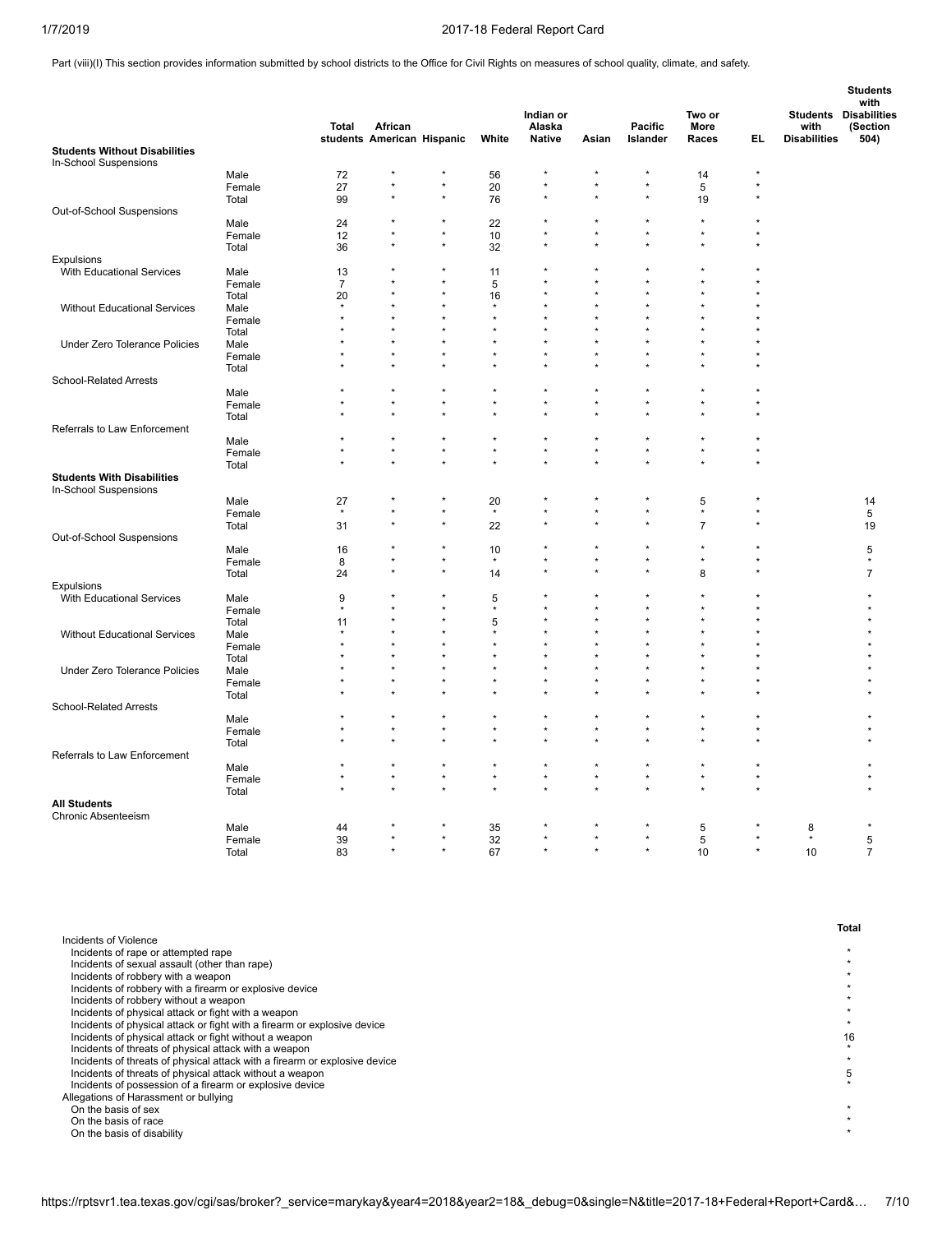Part (viii)(I) This section provides information submitted by school districts to the Office for Civil Rights on measures of school quality, climate, and safety.

|                                      |                 | Total          | African                    |                    |                        | Indian or<br>Alaska  |         | <b>Pacific</b>       | Two or<br>More |         | with                | <b>Students</b><br>with<br><b>Students Disabilities</b><br>(Section |
|--------------------------------------|-----------------|----------------|----------------------------|--------------------|------------------------|----------------------|---------|----------------------|----------------|---------|---------------------|---------------------------------------------------------------------|
| <b>Students Without Disabilities</b> |                 |                | students American Hispanic |                    | White                  | Native               | Asian   | Islander             | Races          | EL.     | <b>Disabilities</b> | 504)                                                                |
| In-School Suspensions                |                 |                |                            |                    |                        |                      |         |                      |                |         |                     |                                                                     |
|                                      | Male            | 72             |                            |                    | 56                     |                      |         |                      | 14             | $\star$ |                     |                                                                     |
|                                      | Female          | 27             |                            | $\star$            | 20                     | $\star$              |         | $\star$              | 5              |         |                     |                                                                     |
|                                      | Total           | 99             |                            |                    | 76                     | $\star$              |         |                      | 19             |         |                     |                                                                     |
| Out-of-School Suspensions            |                 |                |                            |                    |                        |                      |         |                      |                |         |                     |                                                                     |
|                                      | Male            | 24             |                            |                    | 22                     |                      |         |                      | $\star$        |         |                     |                                                                     |
|                                      | Female          | 12             |                            | $\star$<br>$\star$ | 10                     | $\star$<br>$\star$   | $\star$ |                      | $\star$        |         |                     |                                                                     |
|                                      | Total           | 36             |                            |                    | 32                     |                      |         |                      |                |         |                     |                                                                     |
| <b>Expulsions</b>                    |                 |                |                            | ż                  |                        |                      |         |                      |                |         |                     |                                                                     |
| With Educational Services            | Male            | 13             |                            | $\star$            | 11                     | $\star$              |         |                      |                |         |                     |                                                                     |
|                                      | Female          | $\overline{7}$ |                            |                    | 5                      |                      |         |                      |                |         |                     |                                                                     |
|                                      | Total           | 20<br>$\star$  |                            |                    | 16<br>$\star$          |                      |         |                      |                |         |                     |                                                                     |
| Without Educational Services         | Male<br>Female  |                |                            |                    |                        | $\star$              |         |                      |                |         |                     |                                                                     |
|                                      | Total           |                |                            |                    |                        |                      |         |                      |                |         |                     |                                                                     |
| Under Zero Tolerance Policies        | Male            |                |                            |                    |                        | $\star$              |         |                      |                |         |                     |                                                                     |
|                                      | Female          |                |                            |                    |                        | $\star$              |         |                      |                |         |                     |                                                                     |
|                                      | Total           |                |                            |                    |                        |                      |         |                      |                |         |                     |                                                                     |
| School-Related Arrests               |                 |                |                            |                    |                        |                      |         |                      |                |         |                     |                                                                     |
|                                      | Male            |                |                            | $\star$            | $\star$                | $\star$              |         |                      |                |         |                     |                                                                     |
|                                      | Female          |                |                            | $\star$            | $\star$                | $\star$              |         |                      |                |         |                     |                                                                     |
|                                      | Total           |                |                            |                    |                        | $\star$              |         |                      |                |         |                     |                                                                     |
| Referrals to Law Enforcement         |                 |                |                            |                    |                        |                      |         |                      |                |         |                     |                                                                     |
|                                      | Male            |                |                            | $\star$            | $\star$                | $\star$              |         |                      |                |         |                     |                                                                     |
|                                      | Female          |                |                            | $\star$            | $\star$                | $\star$              |         |                      | ÷              |         |                     |                                                                     |
|                                      | Total           |                |                            | ÷                  | $\star$                | $\star$              |         |                      | ÷              |         |                     |                                                                     |
| <b>Students With Disabilities</b>    |                 |                |                            |                    |                        |                      |         |                      |                |         |                     |                                                                     |
| In-School Suspensions                |                 |                |                            |                    |                        |                      |         |                      |                |         |                     |                                                                     |
|                                      | Male            | 27             |                            | ż                  | 20                     |                      |         |                      | 5              |         |                     | 14                                                                  |
|                                      | Female          | $\star$        |                            | $\star$            | $\star$                | $\star$              |         |                      | $\star$        |         |                     | 5                                                                   |
|                                      | Total           | 31             |                            | $\star$            | 22                     |                      |         |                      | $\overline{7}$ |         |                     | 19                                                                  |
| Out-of-School Suspensions            |                 |                |                            |                    |                        |                      |         |                      |                |         |                     |                                                                     |
|                                      | Male            | 16             |                            | $\star$            | 10                     |                      |         |                      | $\star$        |         |                     | 5                                                                   |
|                                      | Female          | 8              |                            | $\star$            | $^\star$               | $\star$              |         |                      | $\star$        |         |                     | $\star$                                                             |
|                                      | Total           | 24             |                            |                    | 14                     | $\star$              |         |                      | 8              |         |                     | $\overline{7}$                                                      |
| Expulsions                           |                 |                |                            |                    |                        |                      |         |                      |                |         |                     |                                                                     |
| With Educational Services            | Male            | 9              |                            |                    | 5                      | $\star$<br>$\star$   |         |                      |                |         |                     |                                                                     |
|                                      | Female          |                | $\star$                    | ÷                  | $\star$                | $\star$              | $\star$ |                      |                |         |                     |                                                                     |
|                                      | Total           | 11<br>$\star$  | $\star$                    |                    | $\mathbf 5$<br>$\star$ | $\star$              |         |                      |                |         |                     |                                                                     |
| <b>Without Educational Services</b>  | Male            |                |                            |                    |                        |                      |         |                      |                |         |                     |                                                                     |
|                                      | Female          |                |                            |                    |                        | $\star$              |         |                      |                |         |                     |                                                                     |
|                                      | Total           |                |                            |                    |                        | $\star$              |         |                      |                |         |                     |                                                                     |
| Under Zero Tolerance Policies        | Male            |                |                            |                    |                        |                      |         |                      |                |         |                     |                                                                     |
|                                      | Female          |                |                            |                    |                        | $\star$              |         |                      | ÷              |         |                     |                                                                     |
| School-Related Arrests               | Total           |                |                            |                    |                        |                      |         |                      |                |         |                     |                                                                     |
|                                      | Male            |                |                            |                    |                        |                      |         |                      |                |         |                     |                                                                     |
|                                      |                 |                |                            | $\star$            | $\star$                | $\star$              |         |                      | $\star$        |         |                     |                                                                     |
|                                      | Female<br>Total |                |                            |                    |                        | $\star$              |         |                      |                |         |                     |                                                                     |
| Referrals to Law Enforcement         |                 |                |                            |                    |                        |                      |         |                      |                |         |                     |                                                                     |
|                                      | Male            |                |                            |                    | $\star$                |                      |         |                      |                |         |                     |                                                                     |
|                                      | Female          |                | $\star$                    | $\star$            | $\star$                | $\star$              |         |                      | $\star$        |         |                     |                                                                     |
|                                      | Total           |                |                            |                    |                        |                      |         |                      |                |         |                     |                                                                     |
| <b>All Students</b>                  |                 |                |                            |                    |                        |                      |         |                      |                |         |                     |                                                                     |
| Chronic Absenteeism                  |                 |                |                            |                    |                        |                      |         |                      |                |         |                     |                                                                     |
|                                      | Male            | 44             |                            |                    | 35                     |                      |         |                      | 5              |         | 8                   |                                                                     |
|                                      | Female          | 39             |                            | $\star$            | 32                     | $\star$              |         |                      | 5              |         | $\star$             | 5                                                                   |
|                                      | Total           | 83             | ٠                          | ÷                  | 67                     | $\ddot{\phantom{0}}$ |         | $\ddot{\phantom{0}}$ | 10             | $\star$ | 10                  | $\overline{7}$                                                      |

| Total                                                                      |  |
|----------------------------------------------------------------------------|--|
| Incidents of Violence                                                      |  |
| Incidents of rape or attempted rape                                        |  |
| Incidents of sexual assault (other than rape)                              |  |
| Incidents of robbery with a weapon                                         |  |
| Incidents of robbery with a firearm or explosive device                    |  |
| Incidents of robbery without a weapon                                      |  |
| Incidents of physical attack or fight with a weapon                        |  |
| Incidents of physical attack or fight with a firearm or explosive device   |  |
| Incidents of physical attack or fight without a weapon                     |  |
| Incidents of threats of physical attack with a weapon                      |  |
| Incidents of threats of physical attack with a firearm or explosive device |  |
| Incidents of threats of physical attack without a weapon                   |  |
| Incidents of possession of a firearm or explosive device                   |  |
| Allegations of Harassment or bullying                                      |  |
| On the basis of sex                                                        |  |
| On the basis of race                                                       |  |
| On the basis of disability                                                 |  |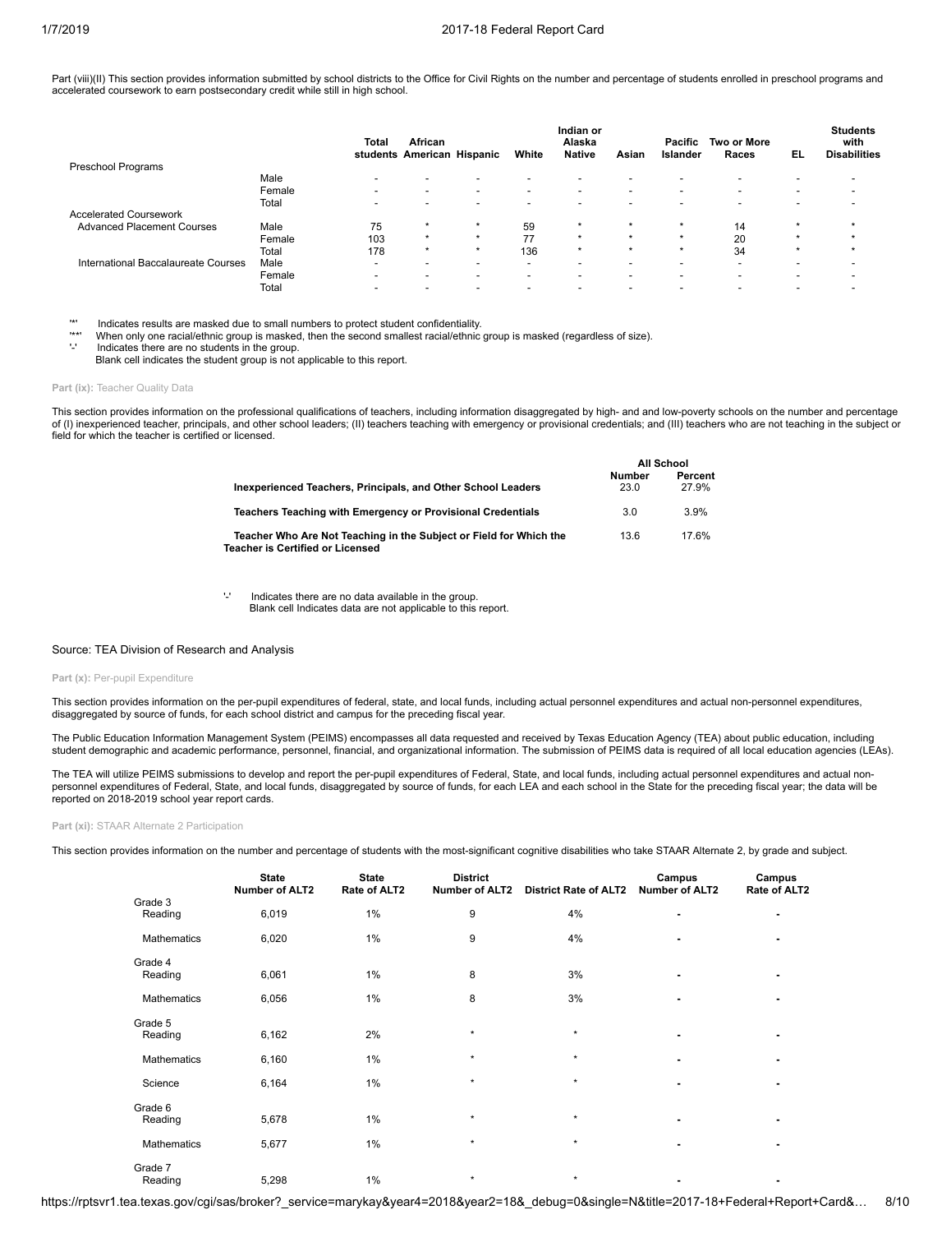Part (viii)(II) This section provides information submitted by school districts to the Office for Civil Rights on the number and percentage of students enrolled in preschool programs and accelerated coursework to earn postsecondary credit while still in high school.

|                                     |        | Total                    | African<br>students American Hispanic |                          | White                    | Indian or<br>Alaska<br><b>Native</b> | Asian                    | Pacific<br>Islander      | <b>Two or More</b><br>Races | EL             | <b>Students</b><br>with<br><b>Disabilities</b> |
|-------------------------------------|--------|--------------------------|---------------------------------------|--------------------------|--------------------------|--------------------------------------|--------------------------|--------------------------|-----------------------------|----------------|------------------------------------------------|
| Preschool Programs                  |        |                          |                                       |                          |                          |                                      |                          |                          |                             |                |                                                |
|                                     | Male   | $\overline{\phantom{0}}$ | $\overline{\phantom{0}}$              | -                        | $\overline{\phantom{0}}$ | $\overline{\phantom{0}}$             | -                        | $\overline{\phantom{0}}$ | -                           | -              |                                                |
|                                     | Female | $\overline{\phantom{a}}$ | $\overline{\phantom{a}}$              | $\overline{\phantom{a}}$ | $\overline{\phantom{a}}$ | $\overline{\phantom{a}}$             | $\overline{\phantom{0}}$ | $\blacksquare$           | $\blacksquare$              | $\blacksquare$ |                                                |
|                                     | Total  | $\overline{\phantom{a}}$ | $\overline{\phantom{0}}$              | -                        | $\overline{\phantom{a}}$ | $\overline{\phantom{0}}$             | -                        | $\overline{\phantom{0}}$ | -                           | -              |                                                |
| <b>Accelerated Coursework</b>       |        |                          |                                       |                          |                          |                                      |                          |                          |                             |                |                                                |
| <b>Advanced Placement Courses</b>   | Male   | 75                       | $\star$                               | $\star$                  | 59                       | $\star$                              | $\star$                  | $\star$                  | 14                          |                |                                                |
|                                     | Female | 103                      | $\star$                               | $\star$                  | 77                       | $\star$                              | $\star$                  | $\star$                  | 20                          |                | $\star$                                        |
|                                     | Total  | 178                      | $\star$                               | $\star$                  | 136                      | $\star$                              | $\star$                  | $\star$                  | 34                          |                |                                                |
| International Baccalaureate Courses | Male   | $\overline{\phantom{a}}$ | $\overline{\phantom{0}}$              | $\overline{\phantom{0}}$ | $\overline{\phantom{a}}$ |                                      | -                        | $\blacksquare$           | -                           | -              |                                                |
|                                     | Female | $\overline{\phantom{a}}$ | $\overline{\phantom{a}}$              | $\overline{\phantom{0}}$ | $\overline{\phantom{a}}$ | $\overline{\phantom{0}}$             | $\overline{\phantom{0}}$ | $\blacksquare$           | $\blacksquare$              | -              |                                                |
|                                     | Total  |                          |                                       |                          |                          |                                      |                          |                          |                             |                |                                                |

'\*' Indicates results are masked due to small numbers to protect student confidentiality.

'\*\*' When only one racial/ethnic group is masked, then the second smallest racial/ethnic group is masked (regardless of size).

Indicates there are no students in the group.

Blank cell indicates the student group is not applicable to this report.

### Part (ix): Teacher Quality Data

This section provides information on the professional qualifications of teachers, including information disaggregated by high- and and low-poverty schools on the number and percentage of (I) inexperienced teacher, principals, and other school leaders; (II) teachers teaching with emergency or provisional credentials; and (III) teachers who are not teaching in the subject or field for which the teacher is certified or licensed.

|                                                                                                        | <b>All School</b>     |                  |  |
|--------------------------------------------------------------------------------------------------------|-----------------------|------------------|--|
| Inexperienced Teachers, Principals, and Other School Leaders                                           | <b>Number</b><br>23.0 | Percent<br>27.9% |  |
| Teachers Teaching with Emergency or Provisional Credentials                                            | 3.0                   | 3.9%             |  |
| Teacher Who Are Not Teaching in the Subject or Field for Which the<br>Teacher is Certified or Licensed | 13.6                  | 17.6%            |  |

'-' Indicates there are no data available in the group. Blank cell Indicates data are not applicable to this report.

#### Source: TEA Division of Research and Analysis

#### Part (x): Per-pupil Expenditure

This section provides information on the per-pupil expenditures of federal, state, and local funds, including actual personnel expenditures and actual non-personnel expenditures, disaggregated by source of funds, for each school district and campus for the preceding fiscal year.

The Public Education Information Management System (PEIMS) encompasses all data requested and received by Texas Education Agency (TEA) about public education, including student demographic and academic performance, personnel, financial, and organizational information. The submission of PEIMS data is required of all local education agencies (LEAs).

The TEA will utilize PEIMS submissions to develop and report the per-pupil expenditures of Federal, State, and local funds, including actual personnel expenditures and actual non-<br>personnel expenditures of Federal, State, reported on 2018-2019 school year report cards.

**Part (xi):** STAAR Alternate 2 Participation

This section provides information on the number and percentage of students with the most-significant cognitive disabilities who take STAAR Alternate 2, by grade and subject.

|                    | <b>State</b><br><b>Number of ALT2</b> | <b>State</b><br>Rate of ALT2 | <b>District</b><br><b>Number of ALT2</b> | <b>District Rate of ALT2</b> | Campus<br><b>Number of ALT2</b> | Campus<br>Rate of ALT2   |
|--------------------|---------------------------------------|------------------------------|------------------------------------------|------------------------------|---------------------------------|--------------------------|
| Grade 3<br>Reading | 6,019                                 | 1%                           | 9                                        | 4%                           | ۰                               | $\overline{\phantom{a}}$ |
| Mathematics        | 6,020                                 | 1%                           | 9                                        | 4%                           | ۰                               | $\overline{\phantom{0}}$ |
| Grade 4<br>Reading | 6,061                                 | 1%                           | 8                                        | 3%                           | ۰                               | ٠                        |
| Mathematics        | 6,056                                 | 1%                           | 8                                        | 3%                           |                                 |                          |
| Grade 5<br>Reading | 6,162                                 | 2%                           | $\star$                                  | $\star$                      | ٠                               | $\overline{\phantom{0}}$ |
| Mathematics        | 6,160                                 | 1%                           | $\star$                                  | $\star$                      | ۰                               |                          |
| Science            | 6,164                                 | 1%                           | $\star$                                  | $\star$                      | ٠                               |                          |
| Grade 6<br>Reading | 5,678                                 | 1%                           | $\star$                                  | $\star$                      | ٠                               | ٠                        |
| Mathematics        | 5,677                                 | 1%                           | $\star$                                  | $\star$                      | ٠                               |                          |
| Grade 7<br>Reading | 5,298                                 | 1%                           | $\star$                                  | $\star$                      | ۰                               |                          |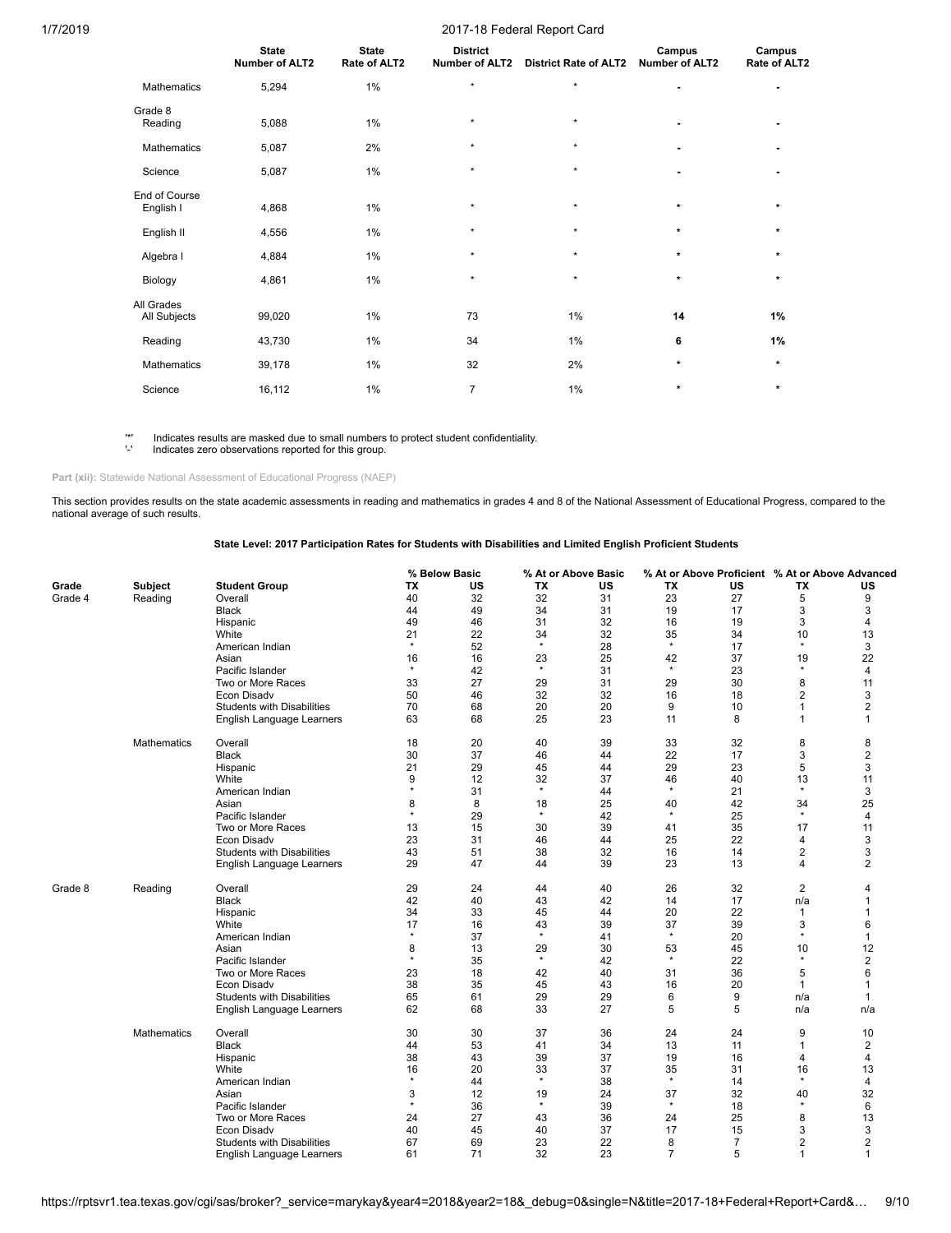|                            | <b>State</b><br><b>Number of ALT2</b> | <b>State</b><br>Rate of ALT2 | <b>District</b><br><b>Number of ALT2</b> | <b>District Rate of ALT2</b> | Campus<br><b>Number of ALT2</b> | Campus<br>Rate of ALT2 |
|----------------------------|---------------------------------------|------------------------------|------------------------------------------|------------------------------|---------------------------------|------------------------|
| Mathematics                | 5,294                                 | 1%                           | $\star$                                  | $\star$                      | ٠                               | ٠                      |
| Grade 8<br>Reading         | 5,088                                 | 1%                           | $\star$                                  | $\star$                      | ٠                               |                        |
| Mathematics                | 5,087                                 | 2%                           | $\star$                                  | $\star$                      | ٠                               |                        |
| Science                    | 5,087                                 | 1%                           | $\star$                                  | $\star$                      |                                 |                        |
| End of Course<br>English I | 4,868                                 | 1%                           | $\star$                                  | $\star$                      | $\star$                         | $\star$                |
| English II                 | 4,556                                 | 1%                           | $\star$                                  | $\star$                      | $\star$                         | $\star$                |
| Algebra I                  | 4,884                                 | 1%                           | $\star$                                  | $\star$                      | $\star$                         | $\star$                |
| Biology                    | 4,861                                 | 1%                           | $\star$                                  | $\star$                      | $\star$                         | $\star$                |
| All Grades<br>All Subjects | 99,020                                | 1%                           | 73                                       | 1%                           | 14                              | 1%                     |
| Reading                    | 43,730                                | 1%                           | 34                                       | 1%                           | 6                               | 1%                     |
| Mathematics                | 39,178                                | 1%                           | 32                                       | 2%                           | $\star$                         | $\star$                |
| Science                    | 16,112                                | 1%                           | $\overline{7}$                           | 1%                           | $\star$                         | $\star$                |

'\*' Indicates results are masked due to small numbers to protect student confidentiality. '-' Indicates zero observations reported for this group.

Part (xii): Statewide National Assessment of Educational Progress (NAEP)

This section provides results on the state academic assessments in reading and mathematics in grades 4 and 8 of the National Assessment of Educational Progress, compared to the national average of such results.

# **State Level: 2017 Participation Rates for Students with Disabilities and Limited English Proficient Students**

|         |                    |                                   |         | % Below Basic |         | % At or Above Basic |                | % At or Above Proficient % At or Above Advanced |                |                |
|---------|--------------------|-----------------------------------|---------|---------------|---------|---------------------|----------------|-------------------------------------------------|----------------|----------------|
| Grade   | <b>Subject</b>     | <b>Student Group</b>              | ТX      | US            | ТX      | US                  | ТX             | US                                              | ΤХ             | US             |
| Grade 4 | Reading            | Overall                           | 40      | 32            | 32      | 31                  | 23             | 27                                              | 5              | 9              |
|         |                    | <b>Black</b>                      | 44      | 49            | 34      | 31                  | 19             | 17                                              | 3              | 3              |
|         |                    | Hispanic                          | 49      | 46            | 31      | 32                  | 16             | 19                                              | 3              | 4              |
|         |                    | White                             | 21      | 22            | 34      | 32                  | 35             | 34                                              | 10             | 13             |
|         |                    | American Indian                   | $\star$ | 52            | $\star$ | 28                  | $\star$        | 17                                              | $\star$        | 3              |
|         |                    | Asian                             | 16      | 16            | 23      | 25                  | 42             | 37                                              | 19             | 22             |
|         |                    | Pacific Islander                  | $\star$ | 42            | $\star$ | 31                  | $\star$        | 23                                              | $^\star$       | 4              |
|         |                    | Two or More Races                 | 33      | 27            | 29      | 31                  | 29             | 30                                              | 8              | 11             |
|         |                    | Econ Disadv                       | 50      | 46            | 32      | 32                  | 16             | 18                                              | $\overline{2}$ | 3              |
|         |                    | <b>Students with Disabilities</b> | 70      | 68            | 20      | 20                  | 9              | 10                                              | $\mathbf{1}$   | $\overline{2}$ |
|         |                    | English Language Learners         | 63      | 68            | 25      | 23                  | 11             | 8                                               | $\mathbf{1}$   | $\mathbf{1}$   |
|         |                    |                                   |         |               |         |                     |                |                                                 |                |                |
|         | <b>Mathematics</b> | Overall                           | 18      | 20            | 40      | 39                  | 33             | 32                                              | 8              | 8              |
|         |                    | <b>Black</b>                      | 30      | 37            | 46      | 44                  | 22             | 17                                              | 3              | $\overline{2}$ |
|         |                    | Hispanic                          | 21      | 29            | 45      | 44                  | 29             | 23                                              | 5              | 3              |
|         |                    | White                             | 9       | 12            | 32      | 37                  | 46             | 40                                              | 13             | 11             |
|         |                    | American Indian                   | $\star$ | 31            | $\star$ | 44                  | $\star$        | 21                                              | $^\star$       | 3              |
|         |                    | Asian                             | 8       | 8             | 18      | 25                  | 40             | 42                                              | 34             | 25             |
|         |                    | Pacific Islander                  | $\star$ | 29            | $\star$ | 42                  | $\star$        | 25                                              | $\star$        | 4              |
|         |                    | Two or More Races                 | 13      | 15            | 30      | 39                  | 41             | 35                                              | 17             | 11             |
|         |                    | Econ Disadv                       | 23      | 31            | 46      | 44                  | 25             | 22                                              | 4              | 3              |
|         |                    | <b>Students with Disabilities</b> | 43      | 51            | 38      | 32                  | 16             | 14                                              | $\overline{2}$ | 3              |
|         |                    | English Language Learners         | 29      | 47            | 44      | 39                  | 23             | 13                                              | 4              | 2              |
|         |                    |                                   |         |               |         |                     |                |                                                 |                |                |
| Grade 8 | Reading            | Overall                           | 29      | 24            | 44      | 40                  | 26             | 32                                              | 2              | 4              |
|         |                    | <b>Black</b>                      | 42      | 40            | 43      | 42                  | 14             | 17                                              | n/a            | $\mathbf 1$    |
|         |                    | Hispanic                          | 34      | 33            | 45      | 44                  | 20             | 22                                              | $\mathbf{1}$   |                |
|         |                    | White                             | 17      | 16            | 43      | 39                  | 37             | 39                                              | 3              | 6              |
|         |                    | American Indian                   | $\star$ | 37            | $\star$ | 41                  | $\star$        | 20                                              | $\star$        | 1              |
|         |                    | Asian                             | 8       | 13            | 29      | 30                  | 53             | 45                                              | 10             | 12             |
|         |                    | Pacific Islander                  | $\star$ | 35            | $\star$ | 42                  | $\star$        | 22                                              | $\star$        | $\overline{2}$ |
|         |                    | Two or More Races                 | 23      | 18            | 42      | 40                  | 31             | 36                                              | 5              | 6              |
|         |                    | Econ Disadv                       | 38      | 35            | 45      | 43                  | 16             | 20                                              | $\mathbf{1}$   |                |
|         |                    | <b>Students with Disabilities</b> | 65      | 61            | 29      | 29                  | 6              | 9                                               | n/a            | 1              |
|         |                    | English Language Learners         | 62      | 68            | 33      | 27                  | 5              | 5                                               | n/a            | n/a            |
|         | Mathematics        | Overall                           | 30      | 30            | 37      | 36                  | 24             | 24                                              | 9              | 10             |
|         |                    | <b>Black</b>                      | 44      | 53            | 41      | 34                  | 13             | 11                                              | $\mathbf{1}$   | 2              |
|         |                    | Hispanic                          | 38      | 43            | 39      | 37                  | 19             | 16                                              | 4              | 4              |
|         |                    | White                             | 16      | 20            | 33      | 37                  | 35             | 31                                              | 16             | 13             |
|         |                    | American Indian                   | $\star$ | 44            | $\star$ | 38                  | $\star$        | 14                                              | $^\star$       | 4              |
|         |                    | Asian                             | 3       | 12            | 19      | 24                  | 37             | 32                                              | 40             | 32             |
|         |                    | Pacific Islander                  | $\star$ | 36            | $\star$ | 39                  | $\star$        | 18                                              | $\star$        | 6              |
|         |                    | Two or More Races                 | 24      | 27            | 43      | 36                  | 24             | 25                                              | 8              | 13             |
|         |                    | Econ Disadv                       | 40      | 45            | 40      | 37                  | 17             | 15                                              | 3              | 3              |
|         |                    | <b>Students with Disabilities</b> | 67      | 69            | 23      | 22                  | 8              | $\overline{7}$                                  | $\overline{2}$ | $\overline{2}$ |
|         |                    |                                   |         | 71            | 32      | 23                  | $\overline{7}$ | 5                                               | $\mathbf{1}$   | 1              |
|         |                    | English Language Learners         | 61      |               |         |                     |                |                                                 |                |                |